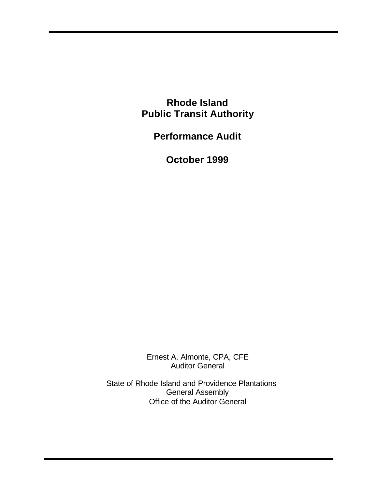**Rhode Island Public Transit Authority**

**Performance Audit**

**October 1999**

Ernest A. Almonte, CPA, CFE Auditor General

State of Rhode Island and Providence Plantations General Assembly Office of the Auditor General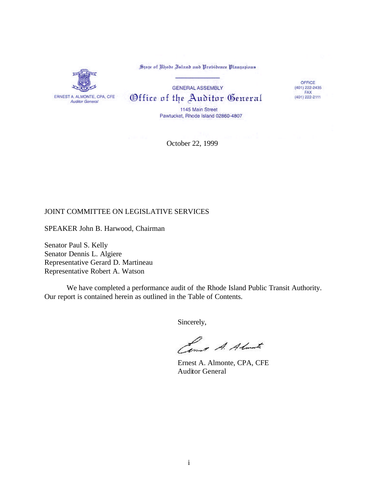

State of Rhode Island and Probidence Plantations

## **GENERAL ASSEMBLY** Office of the Auditor General

OFFICE  $(401)$  222-2435  $(401)$  222-2111

1145 Main Street Pawtucket, Rhode Island 02860-4807

October 22, 1999

## JOINT COMMITTEE ON LEGISLATIVE SERVICES

SPEAKER John B. Harwood, Chairman

Senator Paul S. Kelly Senator Dennis L. Algiere Representative Gerard D. Martineau Representative Robert A. Watson

We have completed a performance audit of the Rhode Island Public Transit Authority. Our report is contained herein as outlined in the Table of Contents.

Sincerely,

Lower A. Almarte

Ernest A. Almonte, CPA, CFE Auditor General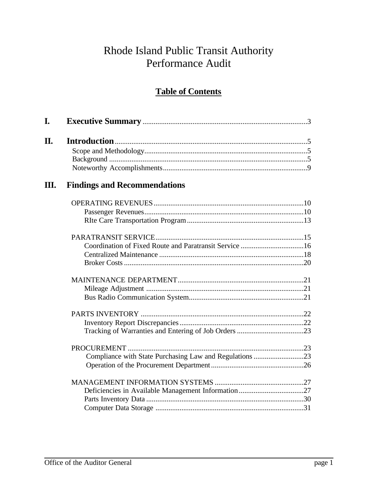# Rhode Island Public Transit Authority Performance Audit

## **Table of Contents**

| L. |                                     |  |
|----|-------------------------------------|--|
| П. |                                     |  |
|    |                                     |  |
|    |                                     |  |
|    |                                     |  |
| Ш. | <b>Findings and Recommendations</b> |  |
|    |                                     |  |
|    |                                     |  |
|    |                                     |  |
|    |                                     |  |
|    |                                     |  |
|    |                                     |  |
|    |                                     |  |
|    |                                     |  |
|    |                                     |  |
|    |                                     |  |
|    |                                     |  |
|    |                                     |  |
|    |                                     |  |
|    |                                     |  |
|    |                                     |  |
|    |                                     |  |
|    |                                     |  |
|    |                                     |  |
|    |                                     |  |
|    |                                     |  |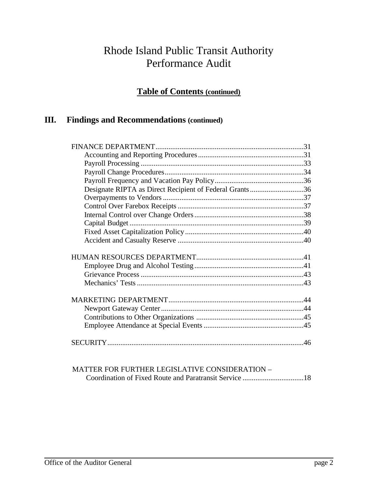## Rhode Island Public Transit Authority Performance Audit

## **Table of Contents (continued)**

## **III. Findings and Recommendations (continued)**

| Designate RIPTA as Direct Recipient of Federal Grants36 |     |
|---------------------------------------------------------|-----|
|                                                         |     |
|                                                         |     |
|                                                         |     |
|                                                         |     |
|                                                         |     |
|                                                         |     |
|                                                         |     |
|                                                         |     |
|                                                         |     |
|                                                         |     |
|                                                         |     |
|                                                         |     |
|                                                         |     |
|                                                         |     |
|                                                         |     |
|                                                         |     |
|                                                         |     |
|                                                         |     |
|                                                         | .46 |
|                                                         |     |

MATTER FOR FURTHER LEGISLATIVE CONSIDERATION – Coordination of Fixed Route and Paratransit Service .................................18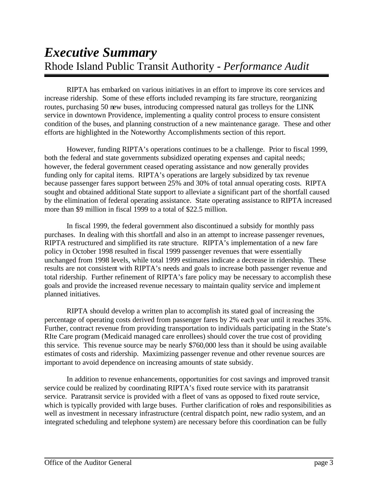RIPTA has embarked on various initiatives in an effort to improve its core services and increase ridership. Some of these efforts included revamping its fare structure, reorganizing routes, purchasing 50 new buses, introducing compressed natural gas trolleys for the LINK service in downtown Providence, implementing a quality control process to ensure consistent condition of the buses, and planning construction of a new maintenance garage. These and other efforts are highlighted in the Noteworthy Accomplishments section of this report.

However, funding RIPTA's operations continues to be a challenge. Prior to fiscal 1999, both the federal and state governments subsidized operating expenses and capital needs; however, the federal government ceased operating assistance and now generally provides funding only for capital items. RIPTA's operations are largely subsidized by tax revenue because passenger fares support between 25% and 30% of total annual operating costs. RIPTA sought and obtained additional State support to alleviate a significant part of the shortfall caused by the elimination of federal operating assistance. State operating assistance to RIPTA increased more than \$9 million in fiscal 1999 to a total of \$22.5 million.

In fiscal 1999, the federal government also discontinued a subsidy for monthly pass purchases. In dealing with this shortfall and also in an attempt to increase passenger revenues, RIPTA restructured and simplified its rate structure. RIPTA's implementation of a new fare policy in October 1998 resulted in fiscal 1999 passenger revenues that were essentially unchanged from 1998 levels, while total 1999 estimates indicate a decrease in ridership. These results are not consistent with RIPTA's needs and goals to increase both passenger revenue and total ridership. Further refinement of RIPTA's fare policy may be necessary to accomplish these goals and provide the increased revenue necessary to maintain quality service and implement planned initiatives.

RIPTA should develop a written plan to accomplish its stated goal of increasing the percentage of operating costs derived from passenger fares by 2% each year until it reaches 35%. Further, contract revenue from providing transportation to individuals participating in the State's RIte Care program (Medicaid managed care enrollees) should cover the true cost of providing this service. This revenue source may be nearly \$760,000 less than it should be using available estimates of costs and ridership. Maximizing passenger revenue and other revenue sources are important to avoid dependence on increasing amounts of state subsidy.

In addition to revenue enhancements, opportunities for cost savings and improved transit service could be realized by coordinating RIPTA's fixed route service with its paratransit service. Paratransit service is provided with a fleet of vans as opposed to fixed route service, which is typically provided with large buses. Further clarification of roles and responsibilities as well as investment in necessary infrastructure (central dispatch point, new radio system, and an integrated scheduling and telephone system) are necessary before this coordination can be fully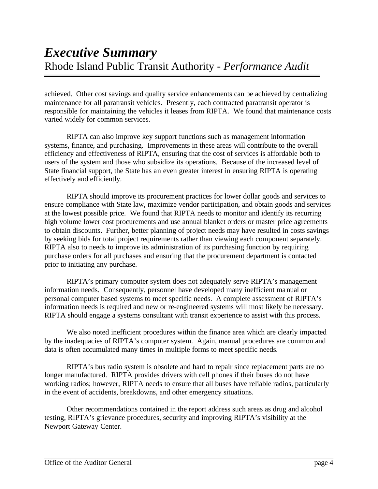achieved. Other cost savings and quality service enhancements can be achieved by centralizing maintenance for all paratransit vehicles. Presently, each contracted paratransit operator is responsible for maintaining the vehicles it leases from RIPTA. We found that maintenance costs varied widely for common services.

RIPTA can also improve key support functions such as management information systems, finance, and purchasing. Improvements in these areas will contribute to the overall efficiency and effectiveness of RIPTA, ensuring that the cost of services is affordable both to users of the system and those who subsidize its operations. Because of the increased level of State financial support, the State has an even greater interest in ensuring RIPTA is operating effectively and efficiently.

RIPTA should improve its procurement practices for lower dollar goods and services to ensure compliance with State law, maximize vendor participation, and obtain goods and services at the lowest possible price. We found that RIPTA needs to monitor and identify its recurring high volume lower cost procurements and use annual blanket orders or master price agreements to obtain discounts. Further, better planning of project needs may have resulted in costs savings by seeking bids for total project requirements rather than viewing each component separately. RIPTA also to needs to improve its administration of its purchasing function by requiring purchase orders for all purchases and ensuring that the procurement department is contacted prior to initiating any purchase.

RIPTA's primary computer system does not adequately serve RIPTA's management information needs. Consequently, personnel have developed many inefficient manual or personal computer based systems to meet specific needs. A complete assessment of RIPTA's information needs is required and new or re-engineered systems will most likely be necessary. RIPTA should engage a systems consultant with transit experience to assist with this process.

We also noted inefficient procedures within the finance area which are clearly impacted by the inadequacies of RIPTA's computer system. Again, manual procedures are common and data is often accumulated many times in multiple forms to meet specific needs.

RIPTA's bus radio system is obsolete and hard to repair since replacement parts are no longer manufactured. RIPTA provides drivers with cell phones if their buses do not have working radios; however, RIPTA needs to ensure that all buses have reliable radios, particularly in the event of accidents, breakdowns, and other emergency situations.

Other recommendations contained in the report address such areas as drug and alcohol testing, RIPTA's grievance procedures, security and improving RIPTA's visibility at the Newport Gateway Center.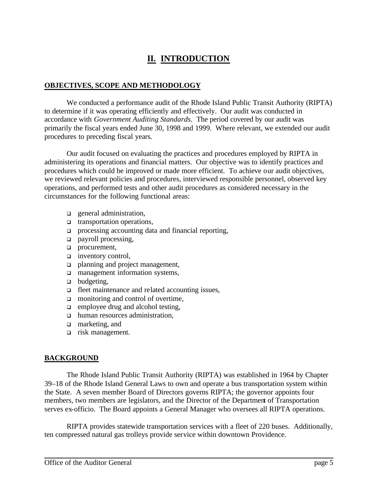## **II. INTRODUCTION**

#### **OBJECTIVES, SCOPE AND METHODOLOGY**

We conducted a performance audit of the Rhode Island Public Transit Authority (RIPTA) to determine if it was operating efficiently and effectively. Our audit was conducted in accordance with *Government Auditing Standards*. The period covered by our audit was primarily the fiscal years ended June 30, 1998 and 1999. Where relevant, we extended our audit procedures to preceding fiscal years.

Our audit focused on evaluating the practices and procedures employed by RIPTA in administering its operations and financial matters. Our objective was to identify practices and procedures which could be improved or made more efficient. To achieve our audit objectives, we reviewed relevant policies and procedures, interviewed responsible personnel, observed key operations, and performed tests and other audit procedures as considered necessary in the circumstances for the following functional areas:

- $\Box$  general administration,
- $\Box$  transportation operations,
- $\Box$  processing accounting data and financial reporting,
- $\Box$  payroll processing,
- procurement,
- $\Box$  inventory control,
- planning and project management,
- **q** management information systems,
- $\Box$  budgeting,
- □ fleet maintenance and related accounting issues,
- $\Box$  monitoring and control of overtime,
- $\Box$  employee drug and alcohol testing,
- $\Box$  human resources administration,
- **q** marketing, and
- <sup>q</sup> risk management.

## **BACKGROUND**

The Rhode Island Public Transit Authority (RIPTA) was established in 1964 by Chapter 39–18 of the Rhode Island General Laws to own and operate a bus transportation system within the State. A seven member Board of Directors governs RIPTA; the governor appoints four members, two members are legislators, and the Director of the Department of Transportation serves ex-officio. The Board appoints a General Manager who oversees all RIPTA operations.

RIPTA provides statewide transportation services with a fleet of 220 buses. Additionally, ten compressed natural gas trolleys provide service within downtown Providence.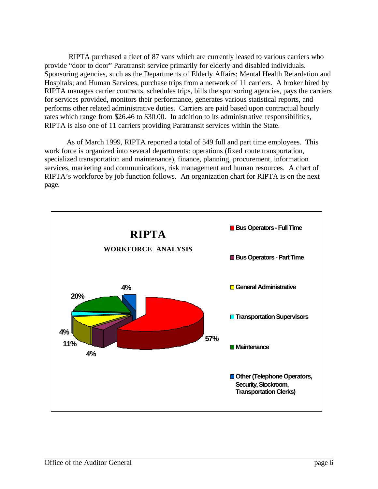RIPTA purchased a fleet of 87 vans which are currently leased to various carriers who provide "door to door" Paratransit service primarily for elderly and disabled individuals. Sponsoring agencies, such as the Departments of Elderly Affairs; Mental Health Retardation and Hospitals; and Human Services, purchase trips from a network of 11 carriers. A broker hired by RIPTA manages carrier contracts, schedules trips, bills the sponsoring agencies, pays the carriers for services provided, monitors their performance, generates various statistical reports, and performs other related administrative duties. Carriers are paid based upon contractual hourly rates which range from \$26.46 to \$30.00. In addition to its administrative responsibilities, RIPTA is also one of 11 carriers providing Paratransit services within the State.

As of March 1999, RIPTA reported a total of 549 full and part time employees. This work force is organized into several departments: operations (fixed route transportation, specialized transportation and maintenance), finance, planning, procurement, information services, marketing and communications, risk management and human resources. A chart of RIPTA's workforce by job function follows. An organization chart for RIPTA is on the next page.

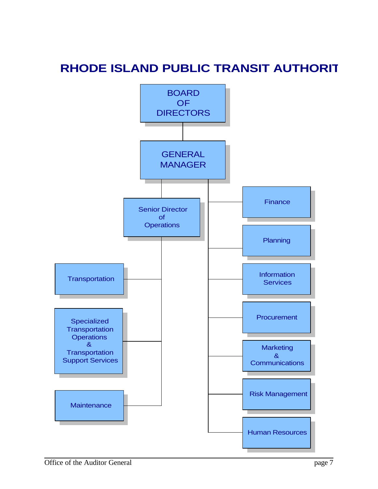# **RHODE ISLAND PUBLIC TRANSIT AUTHORIT**

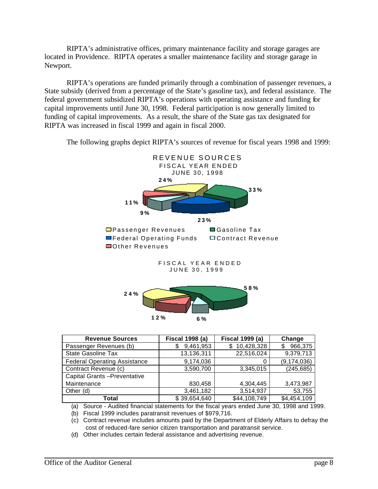RIPTA's administrative offices, primary maintenance facility and storage garages are located in Providence. RIPTA operates a smaller maintenance facility and storage garage in Newport.

RIPTA's operations are funded primarily through a combination of passenger revenues, a State subsidy (derived from a percentage of the State's gasoline tax), and federal assistance. The federal government subsidized RIPTA's operations with operating assistance and funding for capital improvements until June 30, 1998. Federal participation is now generally limited to funding of capital improvements. As a result, the share of the State gas tax designated for RIPTA was increased in fiscal 1999 and again in fiscal 2000.

The following graphs depict RIPTA's sources of revenue for fiscal years 1998 and 1999:



| <b>Revenue Sources</b>              | <b>Fiscal 1998 (a)</b> | <b>Fiscal 1999 (a)</b> | Change        |  |
|-------------------------------------|------------------------|------------------------|---------------|--|
| Passenger Revenues (b)              | 9,461,953<br>\$        | 10,428,328             | 966,375<br>\$ |  |
| <b>State Gasoline Tax</b>           | 13,136,311             | 22,516,024             | 9,379,713     |  |
| <b>Federal Operating Assistance</b> | 9,174,036              |                        | (9, 174, 036) |  |
| Contract Revenue (c)                | 3,590,700              | 3,345,015              | (245, 685)    |  |
| Capital Grants - Preventative       |                        |                        |               |  |
| Maintenance                         | 830,458                | 4,304,445              | 3,473,987     |  |
| Other (d)                           | 3,461,182              | 3,514,937              | 53,755        |  |
| Total                               | \$39,654,640           | \$44,108,749           | \$4,454,109   |  |

**12% 6 %**

(a) Source - Audited financial statements for the fiscal years ended June 30, 1998 and 1999.

(b) Fiscal 1999 includes paratransit revenues of \$979,716.

(c) Contract revenue includes amounts paid by the Department of Elderly Affairs to defray the cost of reduced-fare senior citizen transportation and paratransit service.

(d) Other includes certain federal assistance and advertising revenue.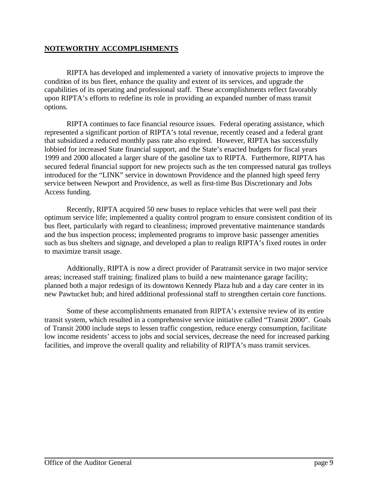## **NOTEWORTHY ACCOMPLISHMENTS**

RIPTA has developed and implemented a variety of innovative projects to improve the condition of its bus fleet, enhance the quality and extent of its services, and upgrade the capabilities of its operating and professional staff. These accomplishments reflect favorably upon RIPTA's efforts to redefine its role in providing an expanded number of mass transit options.

RIPTA continues to face financial resource issues. Federal operating assistance, which represented a significant portion of RIPTA's total revenue, recently ceased and a federal grant that subsidized a reduced monthly pass rate also expired. However, RIPTA has successfully lobbied for increased State financial support, and the State's enacted budgets for fiscal years 1999 and 2000 allocated a larger share of the gasoline tax to RIPTA. Furthermore, RIPTA has secured federal financial support for new projects such as the ten compressed natural gas trolleys introduced for the "LINK" service in downtown Providence and the planned high speed ferry service between Newport and Providence, as well as first-time Bus Discretionary and Jobs Access funding.

Recently, RIPTA acquired 50 new buses to replace vehicles that were well past their optimum service life; implemented a quality control program to ensure consistent condition of its bus fleet, particularly with regard to cleanliness; improved preventative maintenance standards and the bus inspection process; implemented programs to improve basic passenger amenities such as bus shelters and signage, and developed a plan to realign RIPTA's fixed routes in order to maximize transit usage.

Additionally, RIPTA is now a direct provider of Paratransit service in two major service areas; increased staff training; finalized plans to build a new maintenance garage facility; planned both a major redesign of its downtown Kennedy Plaza hub and a day care center in its new Pawtucket hub; and hired additional professional staff to strengthen certain core functions.

Some of these accomplishments emanated from RIPTA's extensive review of its entire transit system, which resulted in a comprehensive service initiative called "Transit 2000". Goals of Transit 2000 include steps to lessen traffic congestion, reduce energy consumption, facilitate low income residents' access to jobs and social services, decrease the need for increased parking facilities, and improve the overall quality and reliability of RIPTA's mass transit services.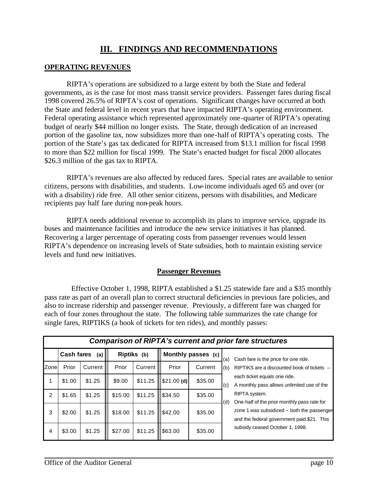## **III. FINDINGS AND RECOMMENDATIONS**

## **OPERATING REVENUES**

RIPTA's operations are subsidized to a large extent by both the State and federal governments, as is the case for most mass transit service providers. Passenger fares during fiscal 1998 covered 26.5% of RIPTA's cost of operations. Significant changes have occurred at both the State and federal level in recent years that have impacted RIPTA's operating environment. Federal operating assistance which represented approximately one-quarter of RIPTA's operating budget of nearly \$44 million no longer exists. The State, through dedication of an increased portion of the gasoline tax, now subsidizes more than one-half of RIPTA's operating costs. The portion of the State's gas tax dedicated for RIPTA increased from \$13.1 million for fiscal 1998 to more than \$22 million for fiscal 1999. The State's enacted budget for fiscal 2000 allocates \$26.3 million of the gas tax to RIPTA.

RIPTA's revenues are also affected by reduced fares. Special rates are available to senior citizens, persons with disabilities, and students. Low-income individuals aged 65 and over (or with a disability) ride free. All other senior citizens, persons with disabilities, and Medicare recipients pay half fare during non-peak hours.

RIPTA needs additional revenue to accomplish its plans to improve service, upgrade its buses and maintenance facilities and introduce the new service initiatives it has planned. Recovering a larger percentage of operating costs from passenger revenues would lessen RIPTA's dependence on increasing levels of State subsidies, both to maintain existing service levels and fund new initiatives.

#### **Passenger Revenues**

Effective October 1, 1998, RIPTA established a \$1.25 statewide fare and a \$35 monthly pass rate as part of an overall plan to correct structural deficiencies in previous fare policies, and also to increase ridership and passenger revenue. Previously, a different fare was charged for each of four zones throughout the state. The following table summarizes the rate change for single fares, RIPTIKS (a book of tickets for ten rides), and monthly passes:

|                | <b>Comparison of RIPTA's current and prior fare structures</b> |                                         |         |                    |              |         |                                      |                                                                                          |  |  |
|----------------|----------------------------------------------------------------|-----------------------------------------|---------|--------------------|--------------|---------|--------------------------------------|------------------------------------------------------------------------------------------|--|--|
|                |                                                                | <b>Cash fares</b><br>Riptiks (b)<br>(a) |         | Monthly passes (c) |              | (a)     | Cash fare is the price for one ride. |                                                                                          |  |  |
| Zone           | Prior                                                          | Current                                 | Prior   | Current            | Prior        | Current | (b)                                  | RIPTIKS are a discounted book of tickets -                                               |  |  |
|                | \$1.00                                                         | \$1.25                                  | \$9.00  | \$11.25            | $$21.00$ (d) | \$35.00 | (c)                                  | each ticket equals one ride.<br>A monthly pass allows unlimited use of the               |  |  |
| $\overline{2}$ | \$1.65                                                         | \$1.25                                  | \$15.00 | \$11.25            | \$34.50      | \$35.00 | (d)                                  | RIPTA system.<br>One-half of the prior monthly pass rate for                             |  |  |
| 3              | \$2.00                                                         | \$1.25                                  | \$18.00 | \$11.25            | \$42.00      | \$35.00 |                                      | zone 1 was subsidized - both the passenger<br>and the federal government paid \$21. This |  |  |
| 4              | \$3.00                                                         | \$1.25                                  | \$27.00 | \$11.25            | \$63.00      | \$35.00 |                                      | subsidy ceased October 1, 1998.                                                          |  |  |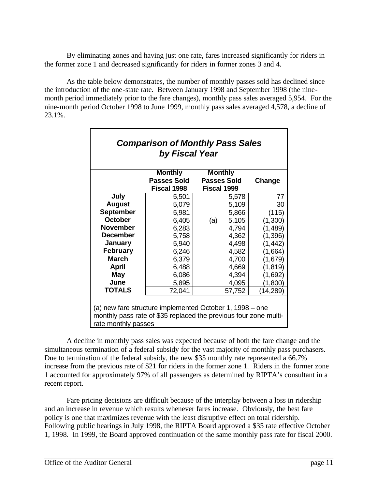By eliminating zones and having just one rate, fares increased significantly for riders in the former zone 1 and decreased significantly for riders in former zones 3 and 4.

As the table below demonstrates, the number of monthly passes sold has declined since the introduction of the one-state rate. Between January 1998 and September 1998 (the ninemonth period immediately prior to the fare changes), monthly pass sales averaged 5,954. For the nine-month period October 1998 to June 1999, monthly pass sales averaged 4,578, a decline of 23.1%.

| <b>Comparison of Monthly Pass Sales</b><br>by Fiscal Year                                                                                           |                                      |                                      |        |           |  |  |  |  |
|-----------------------------------------------------------------------------------------------------------------------------------------------------|--------------------------------------|--------------------------------------|--------|-----------|--|--|--|--|
|                                                                                                                                                     | <b>Monthly</b><br><b>Passes Sold</b> | <b>Monthly</b><br><b>Passes Sold</b> |        | Change    |  |  |  |  |
|                                                                                                                                                     | Fiscal 1998                          | Fiscal 1999                          |        |           |  |  |  |  |
| July                                                                                                                                                | 5,501                                |                                      | 5,578  | 77        |  |  |  |  |
| <b>August</b>                                                                                                                                       | 5,079                                |                                      | 5,109  | 30        |  |  |  |  |
| <b>September</b>                                                                                                                                    | 5,981                                |                                      | 5,866  | (115)     |  |  |  |  |
| <b>October</b>                                                                                                                                      | 6,405                                | (a)                                  | 5,105  | (1,300)   |  |  |  |  |
| <b>November</b>                                                                                                                                     | 6,283                                |                                      | 4,794  | (1,489)   |  |  |  |  |
| <b>December</b>                                                                                                                                     | 5,758                                |                                      | 4,362  | (1,396)   |  |  |  |  |
| <b>January</b>                                                                                                                                      | 5,940                                |                                      | 4,498  | (1, 442)  |  |  |  |  |
| <b>February</b>                                                                                                                                     | 6,246                                |                                      | 4,582  | (1,664)   |  |  |  |  |
| <b>March</b>                                                                                                                                        | 6,379                                |                                      | 4,700  | (1,679)   |  |  |  |  |
| <b>April</b>                                                                                                                                        | 6,488                                |                                      | 4,669  | (1, 819)  |  |  |  |  |
| May                                                                                                                                                 | 6,086                                |                                      | 4,394  | (1,692)   |  |  |  |  |
| June                                                                                                                                                | 5,895                                |                                      | 4,095  | (1,800)   |  |  |  |  |
| <b>TOTALS</b>                                                                                                                                       | 72,041                               |                                      | 57,752 | (14, 289) |  |  |  |  |
| (a) new fare structure implemented October 1, 1998 – one<br>monthly pass rate of \$35 replaced the previous four zone multi-<br>rate monthly passes |                                      |                                      |        |           |  |  |  |  |

A decline in monthly pass sales was expected because of both the fare change and the simultaneous termination of a federal subsidy for the vast majority of monthly pass purchasers. Due to termination of the federal subsidy, the new \$35 monthly rate represented a 66.7% increase from the previous rate of \$21 for riders in the former zone 1. Riders in the former zone 1 accounted for approximately 97% of all passengers as determined by RIPTA's consultant in a recent report.

Fare pricing decisions are difficult because of the interplay between a loss in ridership and an increase in revenue which results whenever fares increase. Obviously, the best fare policy is one that maximizes revenue with the least disruptive effect on total ridership. Following public hearings in July 1998, the RIPTA Board approved a \$35 rate effective October 1, 1998. In 1999, the Board approved continuation of the same monthly pass rate for fiscal 2000.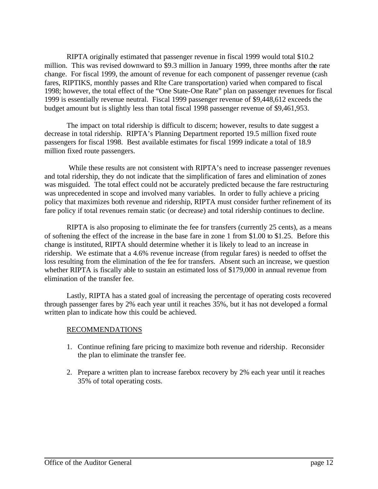RIPTA originally estimated that passenger revenue in fiscal 1999 would total \$10.2 million. This was revised downward to \$9.3 million in January 1999, three months after the rate change. For fiscal 1999, the amount of revenue for each component of passenger revenue (cash fares, RIPTIKS, monthly passes and RIte Care transportation) varied when compared to fiscal 1998; however, the total effect of the "One State-One Rate" plan on passenger revenues for fiscal 1999 is essentially revenue neutral. Fiscal 1999 passenger revenue of \$9,448,612 exceeds the budget amount but is slightly less than total fiscal 1998 passenger revenue of \$9,461,953.

The impact on total ridership is difficult to discern; however, results to date suggest a decrease in total ridership. RIPTA's Planning Department reported 19.5 million fixed route passengers for fiscal 1998. Best available estimates for fiscal 1999 indicate a total of 18.9 million fixed route passengers.

While these results are not consistent with RIPTA's need to increase passenger revenues and total ridership, they do not indicate that the simplification of fares and elimination of zones was misguided. The total effect could not be accurately predicted because the fare restructuring was unprecedented in scope and involved many variables. In order to fully achieve a pricing policy that maximizes both revenue and ridership, RIPTA must consider further refinement of its fare policy if total revenues remain static (or decrease) and total ridership continues to decline.

RIPTA is also proposing to eliminate the fee for transfers (currently 25 cents), as a means of softening the effect of the increase in the base fare in zone 1 from \$1.00 to \$1.25. Before this change is instituted, RIPTA should determine whether it is likely to lead to an increase in ridership. We estimate that a 4.6% revenue increase (from regular fares) is needed to offset the loss resulting from the elimination of the fee for transfers. Absent such an increase, we question whether RIPTA is fiscally able to sustain an estimated loss of \$179,000 in annual revenue from elimination of the transfer fee.

Lastly, RIPTA has a stated goal of increasing the percentage of operating costs recovered through passenger fares by 2% each year until it reaches 35%, but it has not developed a formal written plan to indicate how this could be achieved.

#### RECOMMENDATIONS

- 1. Continue refining fare pricing to maximize both revenue and ridership. Reconsider the plan to eliminate the transfer fee.
- 2. Prepare a written plan to increase farebox recovery by 2% each year until it reaches 35% of total operating costs.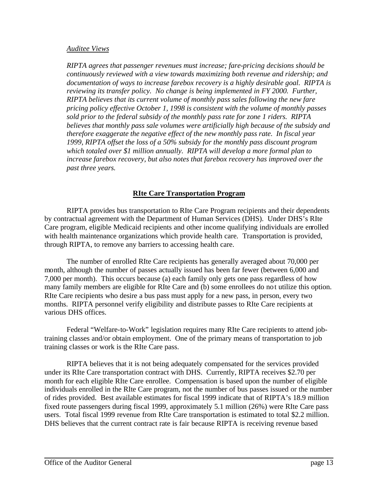#### *Auditee Views*

*RIPTA agrees that passenger revenues must increase; fare-pricing decisions should be continuously reviewed with a view towards maximizing both revenue and ridership; and documentation of ways to increase farebox recovery is a highly desirable goal. RIPTA is reviewing its transfer policy. No change is being implemented in FY 2000. Further, RIPTA believes that its current volume of monthly pass sales following the new fare pricing policy effective October 1, 1998 is consistent with the volume of monthly passes sold prior to the federal subsidy of the monthly pass rate for zone 1 riders. RIPTA believes that monthly pass sale volumes were artificially high because of the subsidy and therefore exaggerate the negative effect of the new monthly pass rate. In fiscal year 1999, RIPTA offset the loss of a 50% subsidy for the monthly pass discount program which totaled over \$1 million annually. RIPTA will develop a more formal plan to increase farebox recovery, but also notes that farebox recovery has improved over the past three years.* 

## **RIte Care Transportation Program**

RIPTA provides bus transportation to RIte Care Program recipients and their dependents by contractual agreement with the Department of Human Services (DHS). Under DHS's RIte Care program, eligible Medicaid recipients and other income qualifying individuals are enrolled with health maintenance organizations which provide health care. Transportation is provided, through RIPTA, to remove any barriers to accessing health care.

The number of enrolled RIte Care recipients has generally averaged about 70,000 per month, although the number of passes actually issued has been far fewer (between 6,000 and 7,000 per month). This occurs because (a) each family only gets one pass regardless of how many family members are eligible for RIte Care and (b) some enrollees do not utilize this option. RIte Care recipients who desire a bus pass must apply for a new pass, in person, every two months. RIPTA personnel verify eligibility and distribute passes to RIte Care recipients at various DHS offices.

Federal "Welfare-to-Work" legislation requires many RIte Care recipients to attend jobtraining classes and/or obtain employment. One of the primary means of transportation to job training classes or work is the RIte Care pass.

RIPTA believes that it is not being adequately compensated for the services provided under its RIte Care transportation contract with DHS. Currently, RIPTA receives \$2.70 per month for each eligible RIte Care enrollee. Compensation is based upon the number of eligible individuals enrolled in the RIte Care program, not the number of bus passes issued or the number of rides provided. Best available estimates for fiscal 1999 indicate that of RIPTA's 18.9 million fixed route passengers during fiscal 1999, approximately 5.1 million (26%) were RIte Care pass users. Total fiscal 1999 revenue from RIte Care transportation is estimated to total \$2.2 million. DHS believes that the current contract rate is fair because RIPTA is receiving revenue based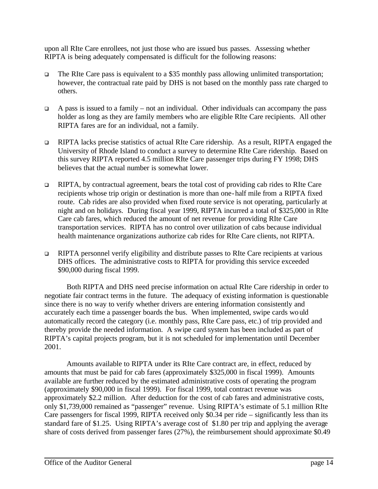upon all RIte Care enrollees, not just those who are issued bus passes. Assessing whether RIPTA is being adequately compensated is difficult for the following reasons:

- $\Box$  The RIte Care pass is equivalent to a \$35 monthly pass allowing unlimited transportation; however, the contractual rate paid by DHS is not based on the monthly pass rate charged to others.
- $\Box$  A pass is issued to a family not an individual. Other individuals can accompany the pass holder as long as they are family members who are eligible RIte Care recipients. All other RIPTA fares are for an individual, not a family.
- <sup>q</sup> RIPTA lacks precise statistics of actual RIte Care ridership. As a result, RIPTA engaged the University of Rhode Island to conduct a survey to determine RIte Care ridership. Based on this survey RIPTA reported 4.5 million RIte Care passenger trips during FY 1998; DHS believes that the actual number is somewhat lower.
- <sup>q</sup> RIPTA, by contractual agreement, bears the total cost of providing cab rides to RIte Care recipients whose trip origin or destination is more than one-half mile from a RIPTA fixed route. Cab rides are also provided when fixed route service is not operating, particularly at night and on holidays. During fiscal year 1999, RIPTA incurred a total of \$325,000 in RIte Care cab fares, which reduced the amount of net revenue for providing RIte Care transportation services. RIPTA has no control over utilization of cabs because individual health maintenance organizations authorize cab rides for RIte Care clients, not RIPTA.
- $\Box$  RIPTA personnel verify eligibility and distribute passes to RIte Care recipients at various DHS offices. The administrative costs to RIPTA for providing this service exceeded \$90,000 during fiscal 1999.

Both RIPTA and DHS need precise information on actual RIte Care ridership in order to negotiate fair contract terms in the future. The adequacy of existing information is questionable since there is no way to verify whether drivers are entering information consistently and accurately each time a passenger boards the bus. When implemented, swipe cards would automatically record the category (i.e. monthly pass, RIte Care pass, etc.) of trip provided and thereby provide the needed information. A swipe card system has been included as part of RIPTA's capital projects program, but it is not scheduled for implementation until December 2001.

Amounts available to RIPTA under its RIte Care contract are, in effect, reduced by amounts that must be paid for cab fares (approximately \$325,000 in fiscal 1999). Amounts available are further reduced by the estimated administrative costs of operating the program (approximately \$90,000 in fiscal 1999). For fiscal 1999, total contract revenue was approximately \$2.2 million. After deduction for the cost of cab fares and administrative costs, only \$1,739,000 remained as "passenger" revenue. Using RIPTA's estimate of 5.1 million RIte Care passengers for fiscal 1999, RIPTA received only \$0.34 per ride – significantly less than its standard fare of \$1.25. Using RIPTA's average cost of \$1.80 per trip and applying the average share of costs derived from passenger fares (27%), the reimbursement should approximate \$0.49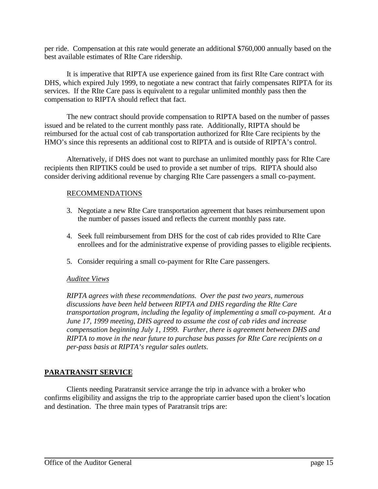per ride. Compensation at this rate would generate an additional \$760,000 annually based on the best available estimates of RIte Care ridership.

It is imperative that RIPTA use experience gained from its first RIte Care contract with DHS, which expired July 1999, to negotiate a new contract that fairly compensates RIPTA for its services. If the RIte Care pass is equivalent to a regular unlimited monthly pass then the compensation to RIPTA should reflect that fact.

The new contract should provide compensation to RIPTA based on the number of passes issued and be related to the current monthly pass rate. Additionally, RIPTA should be reimbursed for the actual cost of cab transportation authorized for RIte Care recipients by the HMO's since this represents an additional cost to RIPTA and is outside of RIPTA's control.

Alternatively, if DHS does not want to purchase an unlimited monthly pass for RIte Care recipients then RIPTIKS could be used to provide a set number of trips. RIPTA should also consider deriving additional revenue by charging RIte Care passengers a small co-payment.

#### RECOMMENDATIONS

- 3. Negotiate a new RIte Care transportation agreement that bases reimbursement upon the number of passes issued and reflects the current monthly pass rate.
- 4. Seek full reimbursement from DHS for the cost of cab rides provided to RIte Care enrollees and for the administrative expense of providing passes to eligible recipients.
- 5. Consider requiring a small co-payment for RIte Care passengers.

#### *Auditee Views*

*RIPTA agrees with these recommendations. Over the past two years, numerous discussions have been held between RIPTA and DHS regarding the RIte Care transportation program, including the legality of implementing a small co-payment. At a June 17, 1999 meeting, DHS agreed to assume the cost of cab rides and increase compensation beginning July 1, 1999. Further, there is agreement between DHS and RIPTA to move in the near future to purchase bus passes for RIte Care recipients on a per-pass basis at RIPTA's regular sales outlets.* 

## **PARATRANSIT SERVICE**

Clients needing Paratransit service arrange the trip in advance with a broker who confirms eligibility and assigns the trip to the appropriate carrier based upon the client's location and destination. The three main types of Paratransit trips are: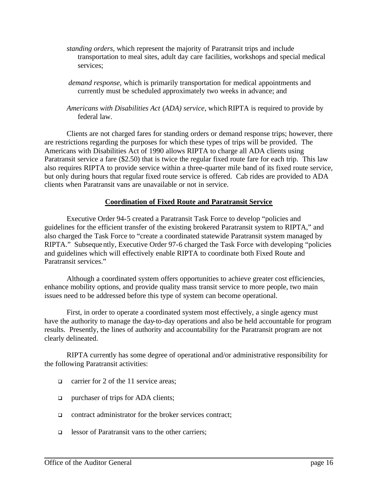- *standing orders*, which represent the majority of Paratransit trips and include transportation to meal sites, adult day care facilities, workshops and special medical services;
- *demand response*, which is primarily transportation for medical appointments and currently must be scheduled approximately two weeks in advance; and
- *Americans with Disabilities Act* (*ADA) service*, which RIPTA is required to provide by federal law.

Clients are not charged fares for standing orders or demand response trips; however, there are restrictions regarding the purposes for which these types of trips will be provided. The Americans with Disabilities Act of 1990 allows RIPTA to charge all ADA clients using Paratransit service a fare (\$2.50) that is twice the regular fixed route fare for each trip. This law also requires RIPTA to provide service within a three-quarter mile band of its fixed route service, but only during hours that regular fixed route service is offered. Cab rides are provided to ADA clients when Paratransit vans are unavailable or not in service.

## **Coordination of Fixed Route and Paratransit Service**

Executive Order 94-5 created a Paratransit Task Force to develop "policies and guidelines for the efficient transfer of the existing brokered Paratransit system to RIPTA," and also charged the Task Force to "create a coordinated statewide Paratransit system managed by RIPTA." Subsequently, Executive Order 97-6 charged the Task Force with developing "policies and guidelines which will effectively enable RIPTA to coordinate both Fixed Route and Paratransit services."

Although a coordinated system offers opportunities to achieve greater cost efficiencies, enhance mobility options, and provide quality mass transit service to more people, two main issues need to be addressed before this type of system can become operational.

First, in order to operate a coordinated system most effectively, a single agency must have the authority to manage the day-to-day operations and also be held accountable for program results. Presently, the lines of authority and accountability for the Paratransit program are not clearly delineated.

RIPTA currently has some degree of operational and/or administrative responsibility for the following Paratransit activities:

- q carrier for 2 of the 11 service areas;
- $\Box$  purchaser of trips for ADA clients;
- $\Box$  contract administrator for the broker services contract;
- **q** lessor of Paratransit vans to the other carriers;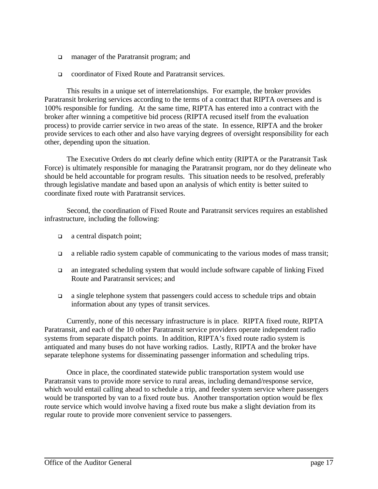- q manager of the Paratransit program; and
- <sup>q</sup> coordinator of Fixed Route and Paratransit services.

This results in a unique set of interrelationships. For example, the broker provides Paratransit brokering services according to the terms of a contract that RIPTA oversees and is 100% responsible for funding. At the same time, RIPTA has entered into a contract with the broker after winning a competitive bid process (RIPTA recused itself from the evaluation process) to provide carrier service in two areas of the state. In essence, RIPTA and the broker provide services to each other and also have varying degrees of oversight responsibility for each other, depending upon the situation.

The Executive Orders do not clearly define which entity (RIPTA or the Paratransit Task Force) is ultimately responsible for managing the Paratransit program, nor do they delineate who should be held accountable for program results. This situation needs to be resolved, preferably through legislative mandate and based upon an analysis of which entity is better suited to coordinate fixed route with Paratransit services.

Second, the coordination of Fixed Route and Paratransit services requires an established infrastructure, including the following:

- $\Box$  a central dispatch point;
- $\Box$  a reliable radio system capable of communicating to the various modes of mass transit;
- $\Box$  an integrated scheduling system that would include software capable of linking Fixed Route and Paratransit services; and
- $\Box$  a single telephone system that passengers could access to schedule trips and obtain information about any types of transit services.

Currently, none of this necessary infrastructure is in place. RIPTA fixed route, RIPTA Paratransit, and each of the 10 other Paratransit service providers operate independent radio systems from separate dispatch points. In addition, RIPTA's fixed route radio system is antiquated and many buses do not have working radios. Lastly, RIPTA and the broker have separate telephone systems for disseminating passenger information and scheduling trips.

Once in place, the coordinated statewide public transportation system would use Paratransit vans to provide more service to rural areas, including demand/response service, which would entail calling ahead to schedule a trip, and feeder system service where passengers would be transported by van to a fixed route bus. Another transportation option would be flex route service which would involve having a fixed route bus make a slight deviation from its regular route to provide more convenient service to passengers.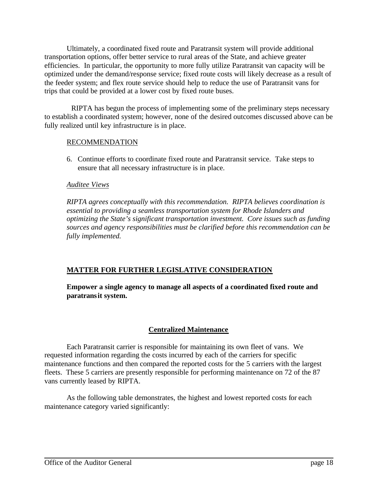Ultimately, a coordinated fixed route and Paratransit system will provide additional transportation options, offer better service to rural areas of the State, and achieve greater efficiencies. In particular, the opportunity to more fully utilize Paratransit van capacity will be optimized under the demand/response service; fixed route costs will likely decrease as a result of the feeder system; and flex route service should help to reduce the use of Paratransit vans for trips that could be provided at a lower cost by fixed route buses.

RIPTA has begun the process of implementing some of the preliminary steps necessary to establish a coordinated system; however, none of the desired outcomes discussed above can be fully realized until key infrastructure is in place.

## RECOMMENDATION

6. Continue efforts to coordinate fixed route and Paratransit service. Take steps to ensure that all necessary infrastructure is in place.

#### *Auditee Views*

*RIPTA agrees conceptually with this recommendation. RIPTA believes coordination is essential to providing a seamless transportation system for Rhode Islanders and optimizing the State's significant transportation investment. Core issues such as funding sources and agency responsibilities must be clarified before this recommendation can be fully implemented.* 

## **MATTER FOR FURTHER LEGISLATIVE CONSIDERATION**

**Empower a single agency to manage all aspects of a coordinated fixed route and paratransit system.** 

## **Centralized Maintenance**

Each Paratransit carrier is responsible for maintaining its own fleet of vans. We requested information regarding the costs incurred by each of the carriers for specific maintenance functions and then compared the reported costs for the 5 carriers with the largest fleets. These 5 carriers are presently responsible for performing maintenance on 72 of the 87 vans currently leased by RIPTA.

As the following table demonstrates, the highest and lowest reported costs for each maintenance category varied significantly: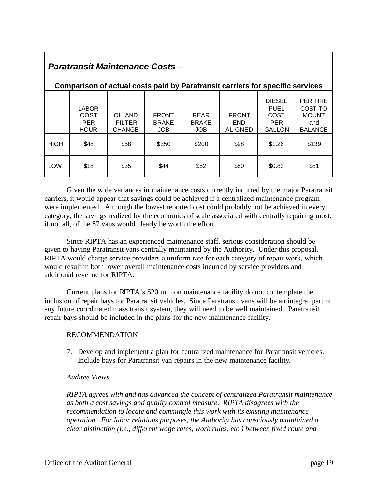| <b>Paratransit Maintenance Costs-</b>                                                |                                                   |                                           |                                            |                                     |                                              |                                                                     |                                                                     |  |
|--------------------------------------------------------------------------------------|---------------------------------------------------|-------------------------------------------|--------------------------------------------|-------------------------------------|----------------------------------------------|---------------------------------------------------------------------|---------------------------------------------------------------------|--|
| <b>Comparison of actual costs paid by Paratransit carriers for specific services</b> |                                                   |                                           |                                            |                                     |                                              |                                                                     |                                                                     |  |
|                                                                                      | <b>LABOR</b><br>COST<br><b>PER</b><br><b>HOUR</b> | OIL AND<br><b>FILTER</b><br><b>CHANGE</b> | <b>FRONT</b><br><b>BRAKE</b><br><b>JOB</b> | <b>REAR</b><br><b>BRAKE</b><br>JOB. | <b>FRONT</b><br><b>END</b><br><b>ALIGNED</b> | <b>DIESEL</b><br><b>FUEL</b><br>COST<br><b>PER</b><br><b>GALLON</b> | <b>PER TIRE</b><br>COST TO<br><b>MOUNT</b><br>and<br><b>BALANCE</b> |  |
| <b>HIGH</b>                                                                          | \$48                                              | \$58                                      | \$350                                      | \$200                               | \$98                                         | \$1.26                                                              | \$139                                                               |  |
| <b>LOW</b>                                                                           | \$18                                              | \$35                                      | \$44                                       | \$52                                | \$50                                         | \$0.83                                                              | \$81                                                                |  |

Given the wide variances in maintenance costs currently incurred by the major Paratransit carriers, it would appear that savings could be achieved if a centralized maintenance program were implemented. Although the lowest reported cost could probably not be achieved in every category, the savings realized by the economies of scale associated with centrally repairing most, if not all, of the 87 vans would clearly be worth the effort.

Since RIPTA has an experienced maintenance staff, serious consideration should be given to having Paratransit vans centrally maintained by the Authority. Under this proposal, RIPTA would charge service providers a uniform rate for each category of repair work, which would result in both lower overall maintenance costs incurred by service providers and additional revenue for RIPTA.

Current plans for RIPTA's \$20 million maintenance facility do not contemplate the inclusion of repair bays for Paratransit vehicles. Since Paratransit vans will be an integral part of any future coordinated mass transit system, they will need to be well maintained. Paratransit repair bays should be included in the plans for the new maintenance facility.

## RECOMMENDATION

7. Develop and implement a plan for centralized maintenance for Paratransit vehicles. Include bays for Paratransit van repairs in the new maintenance facility.

## *Auditee Views*

*RIPTA agrees with and has advanced the concept of centralized Paratransit maintenance as both a cost savings and quality control measure. RIPTA disagrees with the recommendation to locate and commingle this work with its existing maintenance operation. For labor relations purposes, the Authority has consciously maintained a clear distinction (i.e., different wage rates, work rules, etc.) between fixed route and*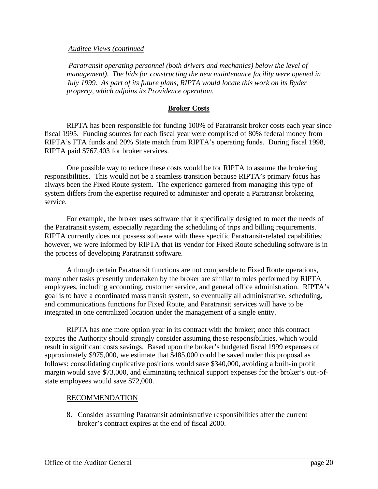#### *Auditee Views (continued*

 *Paratransit operating personnel (both drivers and mechanics) below the level of management). The bids for constructing the new maintenance facility were opened in July 1999. As part of its future plans, RIPTA would locate this work on its Ryder property, which adjoins its Providence operation.* 

#### **Broker Costs**

RIPTA has been responsible for funding 100% of Paratransit broker costs each year since fiscal 1995. Funding sources for each fiscal year were comprised of 80% federal money from RIPTA's FTA funds and 20% State match from RIPTA's operating funds. During fiscal 1998, RIPTA paid \$767,403 for broker services.

One possible way to reduce these costs would be for RIPTA to assume the brokering responsibilities. This would not be a seamless transition because RIPTA's primary focus has always been the Fixed Route system. The experience garnered from managing this type of system differs from the expertise required to administer and operate a Paratransit brokering service.

For example, the broker uses software that it specifically designed to meet the needs of the Paratransit system, especially regarding the scheduling of trips and billing requirements. RIPTA currently does not possess software with these specific Paratransit-related capabilities; however, we were informed by RIPTA that its vendor for Fixed Route scheduling software is in the process of developing Paratransit software.

Although certain Paratransit functions are not comparable to Fixed Route operations, many other tasks presently undertaken by the broker are similar to roles performed by RIPTA employees, including accounting, customer service, and general office administration. RIPTA's goal is to have a coordinated mass transit system, so eventually all administrative, scheduling, and communications functions for Fixed Route, and Paratransit services will have to be integrated in one centralized location under the management of a single entity.

RIPTA has one more option year in its contract with the broker; once this contract expires the Authority should strongly consider assuming the se responsibilities, which would result in significant costs savings. Based upon the broker's budgeted fiscal 1999 expenses of approximately \$975,000, we estimate that \$485,000 could be saved under this proposal as follows: consolidating duplicative positions would save \$340,000, avoiding a built-in profit margin would save \$73,000, and eliminating technical support expenses for the broker's out-ofstate employees would save \$72,000.

#### RECOMMENDATION

8. Consider assuming Paratransit administrative responsibilities after the current broker's contract expires at the end of fiscal 2000.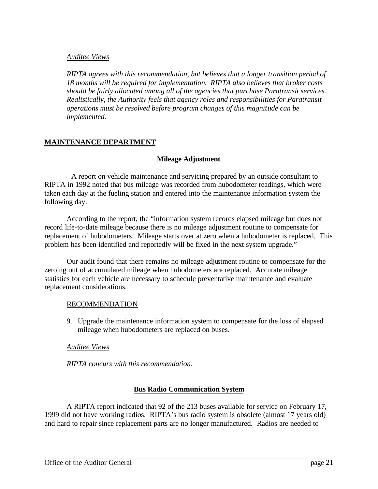#### *Auditee Views*

*RIPTA agrees with this recommendation, but believes that a longer transition period of 18 months will be required for implementation. RIPTA also believes that broker costs should be fairly allocated among all of the agencies that purchase Paratransit services. Realistically, the Authority feels that agency roles and responsibilities for Paratransit operations must be resolved before program changes of this magnitude can be implemented.* 

## **MAINTENANCE DEPARTMENT**

#### **Mileage Adjustment**

A report on vehicle maintenance and servicing prepared by an outside consultant to RIPTA in 1992 noted that bus mileage was recorded from hubodometer readings, which were taken each day at the fueling station and entered into the maintenance information system the following day.

According to the report, the "information system records elapsed mileage but does not record life-to-date mileage because there is no mileage adjustment routine to compensate for replacement of hubodometers. Mileage starts over at zero when a hubodometer is replaced. This problem has been identified and reportedly will be fixed in the next system upgrade."

Our audit found that there remains no mileage adjustment routine to compensate for the zeroing out of accumulated mileage when hubodometers are replaced. Accurate mileage statistics for each vehicle are necessary to schedule preventative maintenance and evaluate replacement considerations.

#### RECOMMENDATION

9. Upgrade the maintenance information system to compensate for the loss of elapsed mileage when hubodometers are replaced on buses.

#### *Auditee Views*

*RIPTA concurs with this recommendation.*

## **Bus Radio Communication System**

A RIPTA report indicated that 92 of the 213 buses available for service on February 17, 1999 did not have working radios. RIPTA's bus radio system is obsolete (almost 17 years old) and hard to repair since replacement parts are no longer manufactured. Radios are needed to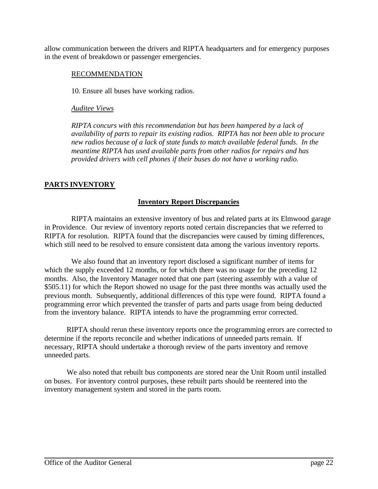allow communication between the drivers and RIPTA headquarters and for emergency purposes in the event of breakdown or passenger emergencies.

#### RECOMMENDATION

10. Ensure all buses have working radios.

## *Auditee Views*

*RIPTA concurs with this recommendation but has been hampered by a lack of availability of parts to repair its existing radios. RIPTA has not been able to procure new radios because of a lack of state funds to match available federal funds. In the meantime RIPTA has used available parts from other radios for repairs and has provided drivers with cell phones if their buses do not have a working radio.* 

## **PARTS INVENTORY**

## **Inventory Report Discrepancies**

RIPTA maintains an extensive inventory of bus and related parts at its Elmwood garage in Providence. Our review of inventory reports noted certain discrepancies that we referred to RIPTA for resolution. RIPTA found that the discrepancies were caused by timing differences, which still need to be resolved to ensure consistent data among the various inventory reports.

We also found that an inventory report disclosed a significant number of items for which the supply exceeded 12 months, or for which there was no usage for the preceding 12 months. Also, the Inventory Manager noted that one part (steering assembly with a value of \$505.11) for which the Report showed no usage for the past three months was actually used the previous month. Subsequently, additional differences of this type were found. RIPTA found a programming error which prevented the transfer of parts and parts usage from being deducted from the inventory balance. RIPTA intends to have the programming error corrected.

RIPTA should rerun these inventory reports once the programming errors are corrected to determine if the reports reconcile and whether indications of unneeded parts remain. If necessary, RIPTA should undertake a thorough review of the parts inventory and remove unneeded parts.

We also noted that rebuilt bus components are stored near the Unit Room until installed on buses. For inventory control purposes, these rebuilt parts should be reentered into the inventory management system and stored in the parts room.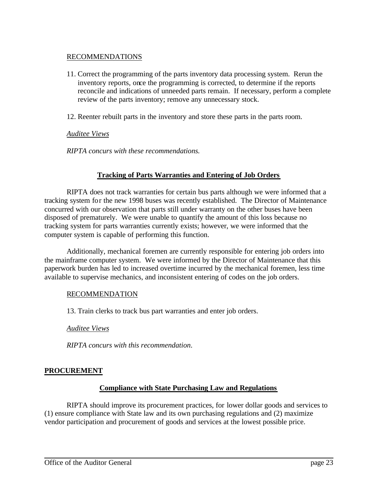## RECOMMENDATIONS

- 11. Correct the programming of the parts inventory data processing system. Rerun the inventory reports, once the programming is corrected, to determine if the reports reconcile and indications of unneeded parts remain. If necessary, perform a complete review of the parts inventory; remove any unnecessary stock.
- 12. Reenter rebuilt parts in the inventory and store these parts in the parts room.

#### *Auditee Views*

*RIPTA concurs with these recommendations.*

## **Tracking of Parts Warranties and Entering of Job Orders**

RIPTA does not track warranties for certain bus parts although we were informed that a tracking system for the new 1998 buses was recently established. The Director of Maintenance concurred with our observation that parts still under warranty on the other buses have been disposed of prematurely. We were unable to quantify the amount of this loss because no tracking system for parts warranties currently exists; however, we were informed that the computer system is capable of performing this function.

Additionally, mechanical foremen are currently responsible for entering job orders into the mainframe computer system. We were informed by the Director of Maintenance that this paperwork burden has led to increased overtime incurred by the mechanical foremen, less time available to supervise mechanics, and inconsistent entering of codes on the job orders.

## RECOMMENDATION

13. Train clerks to track bus part warranties and enter job orders.

*Auditee Views*

*RIPTA concurs with this recommendation*.

## **PROCUREMENT**

#### **Compliance with State Purchasing Law and Regulations**

RIPTA should improve its procurement practices, for lower dollar goods and services to (1) ensure compliance with State law and its own purchasing regulations and (2) maximize vendor participation and procurement of goods and services at the lowest possible price.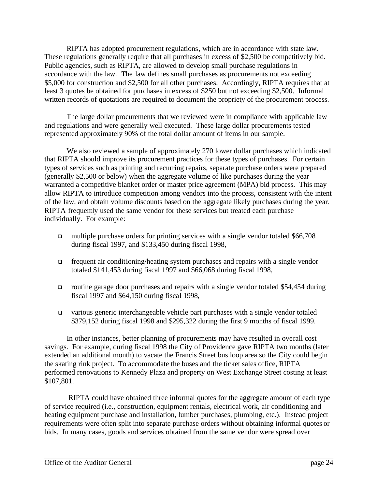RIPTA has adopted procurement regulations, which are in accordance with state law. These regulations generally require that all purchases in excess of \$2,500 be competitively bid. Public agencies, such as RIPTA, are allowed to develop small purchase regulations in accordance with the law. The law defines small purchases as procurements not exceeding \$5,000 for construction and \$2,500 for all other purchases. Accordingly, RIPTA requires that at least 3 quotes be obtained for purchases in excess of \$250 but not exceeding \$2,500. Informal written records of quotations are required to document the propriety of the procurement process.

The large dollar procurements that we reviewed were in compliance with applicable law and regulations and were generally well executed. These large dollar procurements tested represented approximately 90% of the total dollar amount of items in our sample.

We also reviewed a sample of approximately 270 lower dollar purchases which indicated that RIPTA should improve its procurement practices for these types of purchases. For certain types of services such as printing and recurring repairs, separate purchase orders were prepared (generally \$2,500 or below) when the aggregate volume of like purchases during the year warranted a competitive blanket order or master price agreement (MPA) bid process. This may allow RIPTA to introduce competition among vendors into the process, consistent with the intent of the law, and obtain volume discounts based on the aggregate likely purchases during the year. RIPTA frequently used the same vendor for these services but treated each purchase individually. For example:

- multiple purchase orders for printing services with a single vendor totaled  $$66,708$ during fiscal 1997, and \$133,450 during fiscal 1998,
- $\Box$  frequent air conditioning/heating system purchases and repairs with a single vendor totaled \$141,453 during fiscal 1997 and \$66,068 during fiscal 1998,
- q routine garage door purchases and repairs with a single vendor totaled \$54,454 during fiscal 1997 and \$64,150 during fiscal 1998,
- $\Box$  various generic interchangeable vehicle part purchases with a single vendor totaled \$379,152 during fiscal 1998 and \$295,322 during the first 9 months of fiscal 1999.

In other instances, better planning of procurements may have resulted in overall cost savings. For example, during fiscal 1998 the City of Providence gave RIPTA two months (later extended an additional month) to vacate the Francis Street bus loop area so the City could begin the skating rink project. To accommodate the buses and the ticket sales office, RIPTA performed renovations to Kennedy Plaza and property on West Exchange Street costing at least \$107,801.

RIPTA could have obtained three informal quotes for the aggregate amount of each type of service required (i.e., construction, equipment rentals, electrical work, air conditioning and heating equipment purchase and installation, lumber purchases, plumbing, etc.). Instead project requirements were often split into separate purchase orders without obtaining informal quotes or bids. In many cases, goods and services obtained from the same vendor were spread over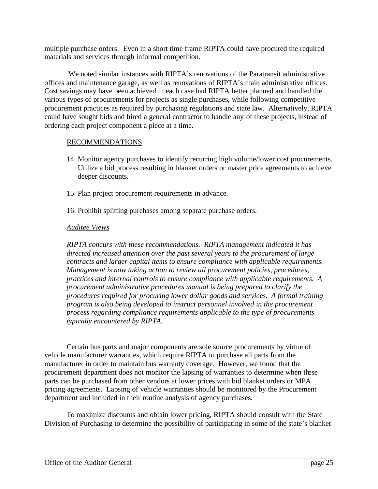multiple purchase orders. Even in a short time frame RIPTA could have procured the required materials and services through informal competition.

We noted similar instances with RIPTA's renovations of the Paratransit administrative offices and maintenance garage, as well as renovations of RIPTA's main administrative offices. Cost savings may have been achieved in each case had RIPTA better planned and handled the various types of procurements for projects as single purchases, while following competitive procurement practices as required by purchasing regulations and state law. Alternatively, RIPTA could have sought bids and hired a general contractor to handle any of these projects, instead of ordering each project component a piece at a time.

#### RECOMMENDATIONS

- 14. Monitor agency purchases to identify recurring high volume/lower cost procurements. Utilize a bid process resulting in blanket orders or master price agreements to achieve deeper discounts.
- 15. Plan project procurement requirements in advance.
- 16. Prohibit splitting purchases among separate purchase orders.

#### *Auditee Views*

*RIPTA concurs with these recommendations. RIPTA management indicated it has directed increased attention over the past several years to the procurement of large contracts and larger capital items to ensure compliance with applicable requirements. Management is now taking action to review all procurement policies, procedures, practices and internal controls to ensure compliance with applicable requirements. A procurement administrative procedures manual is being prepared to clarify the procedures required for procuring lower dollar goods and services. A formal training program is also being developed to instruct personnel involved in the procurement process regarding compliance requirements applicable to the type of procurements typically encountered by RIPTA.* 

Certain bus parts and major components are sole source procurements by virtue of vehicle manufacturer warranties, which require RIPTA to purchase all parts from the manufacturer in order to maintain bus warranty coverage. However, we found that the procurement department does not monitor the lapsing of warranties to determine when these parts can be purchased from other vendors at lower prices with bid blanket orders or MPA pricing agreements. Lapsing of vehicle warranties should be monitored by the Procurement department and included in their routine analysis of agency purchases.

To maximize discounts and obtain lower pricing, RIPTA should consult with the State Division of Purchasing to determine the possibility of participating in some of the state's blanket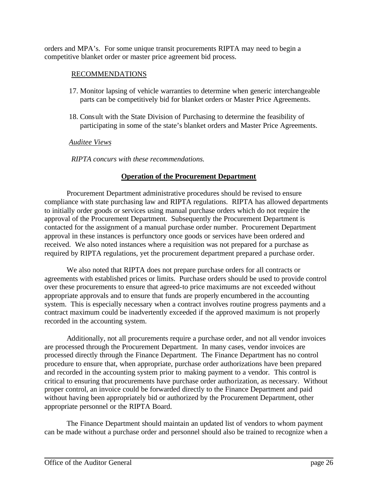orders and MPA's. For some unique transit procurements RIPTA may need to begin a competitive blanket order or master price agreement bid process.

#### RECOMMENDATIONS

- 17. Monitor lapsing of vehicle warranties to determine when generic interchangeable parts can be competitively bid for blanket orders or Master Price Agreements.
- 18. Consult with the State Division of Purchasing to determine the feasibility of participating in some of the state's blanket orders and Master Price Agreements.

#### *Auditee Views*

*RIPTA concurs with these recommendations.*

## **Operation of the Procurement Department**

Procurement Department administrative procedures should be revised to ensure compliance with state purchasing law and RIPTA regulations. RIPTA has allowed departments to initially order goods or services using manual purchase orders which do not require the approval of the Procurement Department. Subsequently the Procurement Department is contacted for the assignment of a manual purchase order number. Procurement Department approval in these instances is perfunctory once goods or services have been ordered and received. We also noted instances where a requisition was not prepared for a purchase as required by RIPTA regulations, yet the procurement department prepared a purchase order.

We also noted that RIPTA does not prepare purchase orders for all contracts or agreements with established prices or limits. Purchase orders should be used to provide control over these procurements to ensure that agreed-to price maximums are not exceeded without appropriate approvals and to ensure that funds are properly encumbered in the accounting system. This is especially necessary when a contract involves routine progress payments and a contract maximum could be inadvertently exceeded if the approved maximum is not properly recorded in the accounting system.

Additionally, not all procurements require a purchase order, and not all vendor invoices are processed through the Procurement Department. In many cases, vendor invoices are processed directly through the Finance Department. The Finance Department has no control procedure to ensure that, when appropriate, purchase order authorizations have been prepared and recorded in the accounting system prior to making payment to a vendor. This control is critical to ensuring that procurements have purchase order authorization, as necessary. Without proper control, an invoice could be forwarded directly to the Finance Department and paid without having been appropriately bid or authorized by the Procurement Department, other appropriate personnel or the RIPTA Board.

The Finance Department should maintain an updated list of vendors to whom payment can be made without a purchase order and personnel should also be trained to recognize when a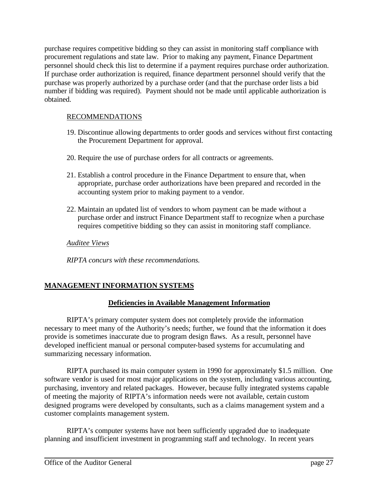purchase requires competitive bidding so they can assist in monitoring staff compliance with procurement regulations and state law. Prior to making any payment, Finance Department personnel should check this list to determine if a payment requires purchase order authorization. If purchase order authorization is required, finance department personnel should verify that the purchase was properly authorized by a purchase order (and that the purchase order lists a bid number if bidding was required). Payment should not be made until applicable authorization is obtained.

## RECOMMENDATIONS

- 19. Discontinue allowing departments to order goods and services without first contacting the Procurement Department for approval.
- 20. Require the use of purchase orders for all contracts or agreements.
- 21. Establish a control procedure in the Finance Department to ensure that, when appropriate, purchase order authorizations have been prepared and recorded in the accounting system prior to making payment to a vendor.
- 22. Maintain an updated list of vendors to whom payment can be made without a purchase order and instruct Finance Department staff to recognize when a purchase requires competitive bidding so they can assist in monitoring staff compliance.

*Auditee Views*

*RIPTA concurs with these recommendations.*

## **MANAGEMENT INFORMATION SYSTEMS**

## **Deficiencies in Available Management Information**

RIPTA's primary computer system does not completely provide the information necessary to meet many of the Authority's needs; further, we found that the information it does provide is sometimes inaccurate due to program design flaws. As a result, personnel have developed inefficient manual or personal computer-based systems for accumulating and summarizing necessary information.

RIPTA purchased its main computer system in 1990 for approximately \$1.5 million. One software vendor is used for most major applications on the system, including various accounting, purchasing, inventory and related packages. However, because fully integrated systems capable of meeting the majority of RIPTA's information needs were not available, certain custom designed programs were developed by consultants, such as a claims management system and a customer complaints management system.

RIPTA's computer systems have not been sufficiently upgraded due to inadequate planning and insufficient investment in programming staff and technology. In recent years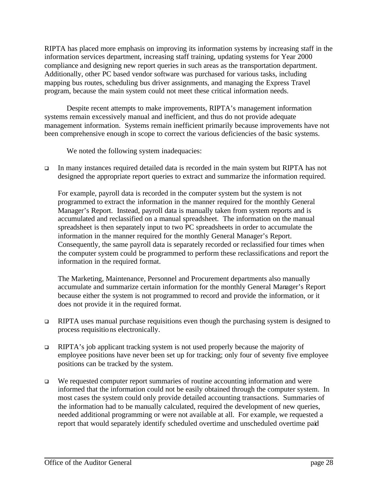RIPTA has placed more emphasis on improving its information systems by increasing staff in the information services department, increasing staff training, updating systems for Year 2000 compliance and designing new report queries in such areas as the transportation department. Additionally, other PC based vendor software was purchased for various tasks, including mapping bus routes, scheduling bus driver assignments, and managing the Express Travel program, because the main system could not meet these critical information needs.

Despite recent attempts to make improvements, RIPTA's management information systems remain excessively manual and inefficient, and thus do not provide adequate management information. Systems remain inefficient primarily because improvements have not been comprehensive enough in scope to correct the various deficiencies of the basic systems.

We noted the following system inadequacies:

<sup>q</sup> In many instances required detailed data is recorded in the main system but RIPTA has not designed the appropriate report queries to extract and summarize the information required.

For example, payroll data is recorded in the computer system but the system is not programmed to extract the information in the manner required for the monthly General Manager's Report. Instead, payroll data is manually taken from system reports and is accumulated and reclassified on a manual spreadsheet. The information on the manual spreadsheet is then separately input to two PC spreadsheets in order to accumulate the information in the manner required for the monthly General Manager's Report. Consequently, the same payroll data is separately recorded or reclassified four times when the computer system could be programmed to perform these reclassifications and report the information in the required format.

The Marketing, Maintenance, Personnel and Procurement departments also manually accumulate and summarize certain information for the monthly General Manager's Report because either the system is not programmed to record and provide the information, or it does not provide it in the required format.

- <sup>q</sup> RIPTA uses manual purchase requisitions even though the purchasing system is designed to process requisitions electronically.
- $\Box$  RIPTA's job applicant tracking system is not used properly because the majority of employee positions have never been set up for tracking; only four of seventy five employee positions can be tracked by the system.
- $Q$  We requested computer report summaries of routine accounting information and were informed that the information could not be easily obtained through the computer system. In most cases the system could only provide detailed accounting transactions. Summaries of the information had to be manually calculated, required the development of new queries, needed additional programming or were not available at all. For example, we requested a report that would separately identify scheduled overtime and unscheduled overtime paid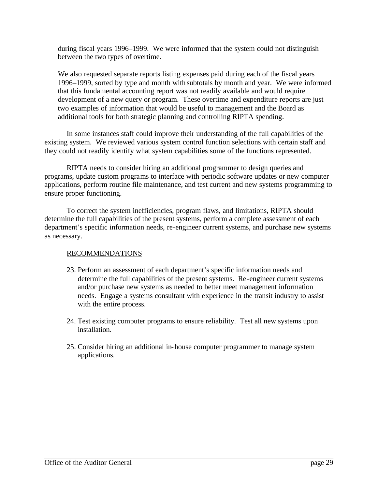during fiscal years 1996–1999. We were informed that the system could not distinguish between the two types of overtime.

We also requested separate reports listing expenses paid during each of the fiscal years 1996–1999, sorted by type and month with subtotals by month and year. We were informed that this fundamental accounting report was not readily available and would require development of a new query or program. These overtime and expenditure reports are just two examples of information that would be useful to management and the Board as additional tools for both strategic planning and controlling RIPTA spending.

In some instances staff could improve their understanding of the full capabilities of the existing system. We reviewed various system control function selections with certain staff and they could not readily identify what system capabilities some of the functions represented.

RIPTA needs to consider hiring an additional programmer to design queries and programs, update custom programs to interface with periodic software updates or new computer applications, perform routine file maintenance, and test current and new systems programming to ensure proper functioning.

To correct the system inefficiencies, program flaws, and limitations, RIPTA should determine the full capabilities of the present systems, perform a complete assessment of each department's specific information needs, re-engineer current systems, and purchase new systems as necessary.

## RECOMMENDATIONS

- 23. Perform an assessment of each department's specific information needs and determine the full capabilities of the present systems. Re-engineer current systems and/or purchase new systems as needed to better meet management information needs. Engage a systems consultant with experience in the transit industry to assist with the entire process.
- 24. Test existing computer programs to ensure reliability. Test all new systems upon installation.
- 25. Consider hiring an additional in-house computer programmer to manage system applications.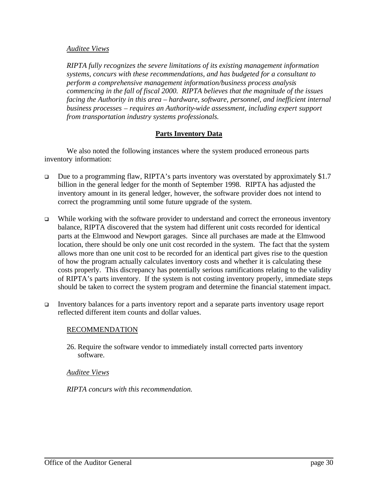#### *Auditee Views*

*RIPTA fully recognizes the severe limitations of its existing management information systems, concurs with these recommendations, and has budgeted for a consultant to perform a comprehensive management information/business process analysis commencing in the fall of fiscal 2000. RIPTA believes that the magnitude of the issues facing the Authority in this area – hardware, software, personnel, and inefficient internal business processes – requires an Authority-wide assessment, including expert support from transportation industry systems professionals.* 

#### **Parts Inventory Data**

We also noted the following instances where the system produced erroneous parts inventory information:

- □ Due to a programming flaw, RIPTA's parts inventory was overstated by approximately \$1.7 billion in the general ledger for the month of September 1998. RIPTA has adjusted the inventory amount in its general ledger, however, the software provider does not intend to correct the programming until some future upgrade of the system.
- $\Box$  While working with the software provider to understand and correct the erroneous inventory balance, RIPTA discovered that the system had different unit costs recorded for identical parts at the Elmwood and Newport garages. Since all purchases are made at the Elmwood location, there should be only one unit cost recorded in the system. The fact that the system allows more than one unit cost to be recorded for an identical part gives rise to the question of how the program actually calculates inventory costs and whether it is calculating these costs properly. This discrepancy has potentially serious ramifications relating to the validity of RIPTA's parts inventory. If the system is not costing inventory properly, immediate steps should be taken to correct the system program and determine the financial statement impact.
- <sup>q</sup> Inventory balances for a parts inventory report and a separate parts inventory usage report reflected different item counts and dollar values.

#### RECOMMENDATION

26. Require the software vendor to immediately install corrected parts inventory software.

#### *Auditee Views*

*RIPTA concurs with this recommendation.*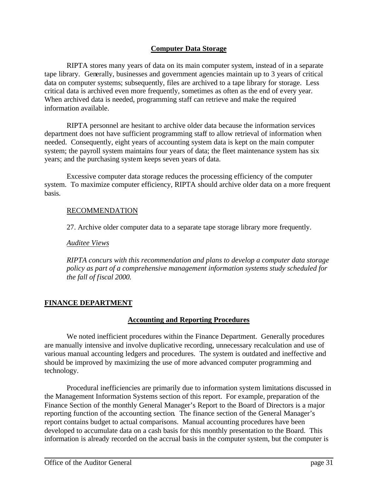## **Computer Data Storage**

RIPTA stores many years of data on its main computer system, instead of in a separate tape library. Generally, businesses and government agencies maintain up to 3 years of critical data on computer systems; subsequently, files are archived to a tape library for storage. Less critical data is archived even more frequently, sometimes as often as the end of every year. When archived data is needed, programming staff can retrieve and make the required information available.

RIPTA personnel are hesitant to archive older data because the information services department does not have sufficient programming staff to allow retrieval of information when needed. Consequently, eight years of accounting system data is kept on the main computer system; the payroll system maintains four years of data; the fleet maintenance system has six years; and the purchasing system keeps seven years of data.

Excessive computer data storage reduces the processing efficiency of the computer system. To maximize computer efficiency, RIPTA should archive older data on a more frequent basis.

#### RECOMMENDATION

27. Archive older computer data to a separate tape storage library more frequently.

#### *Auditee Views*

*RIPTA concurs with this recommendation and plans to develop a computer data storage policy as part of a comprehensive management information systems study scheduled for the fall of fiscal 2000.*

## **FINANCE DEPARTMENT**

#### **Accounting and Reporting Procedures**

We noted inefficient procedures within the Finance Department. Generally procedures are manually intensive and involve duplicative recording, unnecessary recalculation and use of various manual accounting ledgers and procedures. The system is outdated and ineffective and should be improved by maximizing the use of more advanced computer programming and technology.

Procedural inefficiencies are primarily due to information system limitations discussed in the Management Information Systems section of this report. For example, preparation of the Finance Section of the monthly General Manager's Report to the Board of Directors is a major reporting function of the accounting section. The finance section of the General Manager's report contains budget to actual comparisons. Manual accounting procedures have been developed to accumulate data on a cash basis for this monthly presentation to the Board. This information is already recorded on the accrual basis in the computer system, but the computer is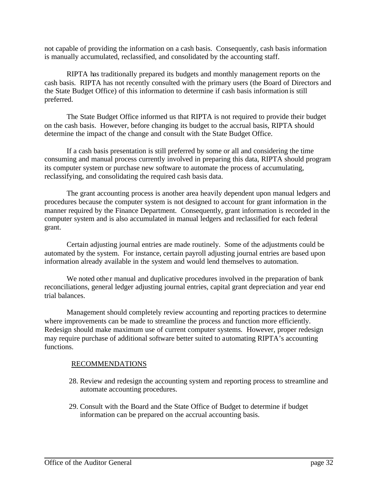not capable of providing the information on a cash basis. Consequently, cash basis information is manually accumulated, reclassified, and consolidated by the accounting staff.

RIPTA has traditionally prepared its budgets and monthly management reports on the cash basis. RIPTA has not recently consulted with the primary users (the Board of Directors and the State Budget Office) of this information to determine if cash basis information is still preferred.

The State Budget Office informed us that RIPTA is not required to provide their budget on the cash basis. However, before changing its budget to the accrual basis, RIPTA should determine the impact of the change and consult with the State Budget Office.

If a cash basis presentation is still preferred by some or all and considering the time consuming and manual process currently involved in preparing this data, RIPTA should program its computer system or purchase new software to automate the process of accumulating, reclassifying, and consolidating the required cash basis data.

The grant accounting process is another area heavily dependent upon manual ledgers and procedures because the computer system is not designed to account for grant information in the manner required by the Finance Department. Consequently, grant information is recorded in the computer system and is also accumulated in manual ledgers and reclassified for each federal grant.

Certain adjusting journal entries are made routinely. Some of the adjustments could be automated by the system. For instance, certain payroll adjusting journal entries are based upon information already available in the system and would lend themselves to automation.

We noted other manual and duplicative procedures involved in the preparation of bank reconciliations, general ledger adjusting journal entries, capital grant depreciation and year end trial balances.

Management should completely review accounting and reporting practices to determine where improvements can be made to streamline the process and function more efficiently. Redesign should make maximum use of current computer systems. However, proper redesign may require purchase of additional software better suited to automating RIPTA's accounting functions.

## RECOMMENDATIONS

- 28. Review and redesign the accounting system and reporting process to streamline and automate accounting procedures.
- 29. Consult with the Board and the State Office of Budget to determine if budget information can be prepared on the accrual accounting basis.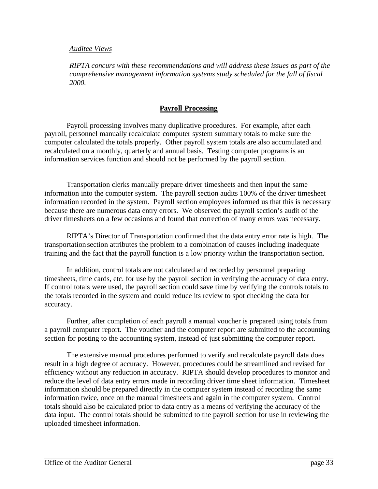#### *Auditee Views*

*RIPTA concurs with these recommendations and will address these issues as part of the comprehensive management information systems study scheduled for the fall of fiscal 2000.*

## **Payroll Processing**

Payroll processing involves many duplicative procedures. For example, after each payroll, personnel manually recalculate computer system summary totals to make sure the computer calculated the totals properly. Other payroll system totals are also accumulated and recalculated on a monthly, quarterly and annual basis. Testing computer programs is an information services function and should not be performed by the payroll section.

Transportation clerks manually prepare driver timesheets and then input the same information into the computer system. The payroll section audits 100% of the driver timesheet information recorded in the system. Payroll section employees informed us that this is necessary because there are numerous data entry errors. We observed the payroll section's audit of the driver timesheets on a few occasions and found that correction of many errors was necessary.

RIPTA's Director of Transportation confirmed that the data entry error rate is high. The transportation section attributes the problem to a combination of causes including inadequate training and the fact that the payroll function is a low priority within the transportation section.

In addition, control totals are not calculated and recorded by personnel preparing timesheets, time cards, etc. for use by the payroll section in verifying the accuracy of data entry. If control totals were used, the payroll section could save time by verifying the controls totals to the totals recorded in the system and could reduce its review to spot checking the data for accuracy.

Further, after completion of each payroll a manual voucher is prepared using totals from a payroll computer report. The voucher and the computer report are submitted to the accounting section for posting to the accounting system, instead of just submitting the computer report.

The extensive manual procedures performed to verify and recalculate payroll data does result in a high degree of accuracy. However, procedures could be streamlined and revised for efficiency without any reduction in accuracy. RIPTA should develop procedures to monitor and reduce the level of data entry errors made in recording driver time sheet information. Timesheet information should be prepared directly in the computer system instead of recording the same information twice, once on the manual timesheets and again in the computer system. Control totals should also be calculated prior to data entry as a means of verifying the accuracy of the data input. The control totals should be submitted to the payroll section for use in reviewing the uploaded timesheet information.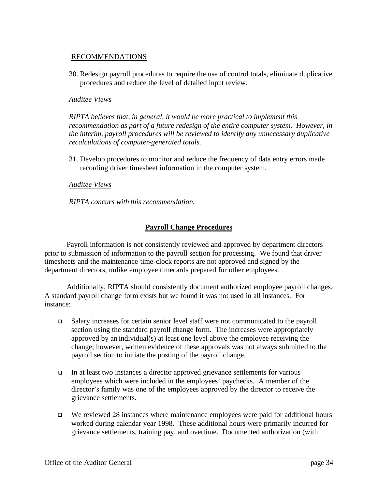## RECOMMENDATIONS

30. Redesign payroll procedures to require the use of control totals, eliminate duplicative procedures and reduce the level of detailed input review.

#### *Auditee Views*

*RIPTA believes that, in general, it would be more practical to implement this recommendation as part of a future redesign of the entire computer system. However, in the interim, payroll procedures will be reviewed to identify any unnecessary duplicative recalculations of computer-generated totals.*

31. Develop procedures to monitor and reduce the frequency of data entry errors made recording driver timesheet information in the computer system.

#### *Auditee Views*

*RIPTA concurs with this recommendation.*

#### **Payroll Change Procedures**

Payroll information is not consistently reviewed and approved by department directors prior to submission of information to the payroll section for processing. We found that driver timesheets and the maintenance time-clock reports are not approved and signed by the department directors, unlike employee timecards prepared for other employees.

Additionally, RIPTA should consistently document authorized employee payroll changes. A standard payroll change form exists but we found it was not used in all instances. For instance:

- $\Box$  Salary increases for certain senior level staff were not communicated to the payroll section using the standard payroll change form. The increases were appropriately approved by an individual(s) at least one level above the employee receiving the change; however, written evidence of these approvals was not always submitted to the payroll section to initiate the posting of the payroll change.
- □ In at least two instances a director approved grievance settlements for various employees which were included in the employees' paychecks. A member of the director's family was one of the employees approved by the director to receive the grievance settlements.
- $\Box$  We reviewed 28 instances where maintenance employees were paid for additional hours worked during calendar year 1998. These additional hours were primarily incurred for grievance settlements, training pay, and overtime. Documented authorization (with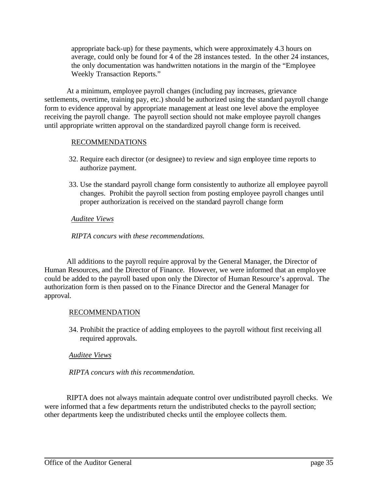appropriate back-up) for these payments, which were approximately 4.3 hours on average, could only be found for 4 of the 28 instances tested. In the other 24 instances, the only documentation was handwritten notations in the margin of the "Employee Weekly Transaction Reports."

At a minimum, employee payroll changes (including pay increases, grievance settlements, overtime, training pay, etc.) should be authorized using the standard payroll change form to evidence approval by appropriate management at least one level above the employee receiving the payroll change. The payroll section should not make employee payroll changes until appropriate written approval on the standardized payroll change form is received.

#### RECOMMENDATIONS

- 32. Require each director (or designee) to review and sign employee time reports to authorize payment.
- 33. Use the standard payroll change form consistently to authorize all employee payroll changes. Prohibit the payroll section from posting employee payroll changes until proper authorization is received on the standard payroll change form

## *Auditee Views*

*RIPTA concurs with these recommendations.*

All additions to the payroll require approval by the General Manager, the Director of Human Resources, and the Director of Finance. However, we were informed that an employee could be added to the payroll based upon only the Director of Human Resource's approval. The authorization form is then passed on to the Finance Director and the General Manager for approval.

## RECOMMENDATION

34. Prohibit the practice of adding employees to the payroll without first receiving all required approvals.

## *Auditee Views*

*RIPTA concurs with this recommendation.*

RIPTA does not always maintain adequate control over undistributed payroll checks. We were informed that a few departments return the undistributed checks to the payroll section; other departments keep the undistributed checks until the employee collects them.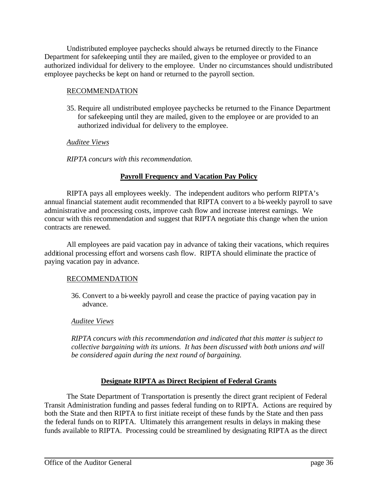Undistributed employee paychecks should always be returned directly to the Finance Department for safekeeping until they are mailed, given to the employee or provided to an authorized individual for delivery to the employee. Under no circumstances should undistributed employee paychecks be kept on hand or returned to the payroll section.

## RECOMMENDATION

35. Require all undistributed employee paychecks be returned to the Finance Department for safekeeping until they are mailed, given to the employee or are provided to an authorized individual for delivery to the employee.

## *Auditee Views*

*RIPTA concurs with this recommendation.*

## **Payroll Frequency and Vacation Pay Policy**

RIPTA pays all employees weekly. The independent auditors who perform RIPTA's annual financial statement audit recommended that RIPTA convert to a bi-weekly payroll to save administrative and processing costs, improve cash flow and increase interest earnings. We concur with this recommendation and suggest that RIPTA negotiate this change when the union contracts are renewed.

All employees are paid vacation pay in advance of taking their vacations, which requires additional processing effort and worsens cash flow. RIPTA should eliminate the practice of paying vacation pay in advance.

## RECOMMENDATION

36. Convert to a bi-weekly payroll and cease the practice of paying vacation pay in advance.

## *Auditee Views*

*RIPTA concurs with this recommendation and indicated that this matter is subject to collective bargaining with its unions. It has been discussed with both unions and will be considered again during the next round of bargaining.*

## **Designate RIPTA as Direct Recipient of Federal Grants**

The State Department of Transportation is presently the direct grant recipient of Federal Transit Administration funding and passes federal funding on to RIPTA. Actions are required by both the State and then RIPTA to first initiate receipt of these funds by the State and then pass the federal funds on to RIPTA. Ultimately this arrangement results in delays in making these funds available to RIPTA. Processing could be streamlined by designating RIPTA as the direct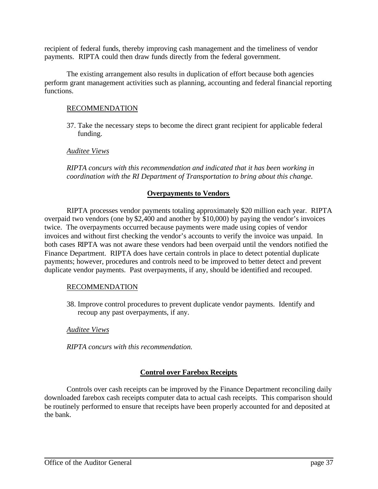recipient of federal funds, thereby improving cash management and the timeliness of vendor payments. RIPTA could then draw funds directly from the federal government.

The existing arrangement also results in duplication of effort because both agencies perform grant management activities such as planning, accounting and federal financial reporting functions.

## RECOMMENDATION

37. Take the necessary steps to become the direct grant recipient for applicable federal funding.

#### *Auditee Views*

*RIPTA concurs with this recommendation and indicated that it has been working in coordination with the RI Department of Transportation to bring about this change.*

#### **Overpayments to Vendors**

RIPTA processes vendor payments totaling approximately \$20 million each year. RIPTA overpaid two vendors (one by \$2,400 and another by \$10,000) by paying the vendor's invoices twice. The overpayments occurred because payments were made using copies of vendor invoices and without first checking the vendor's accounts to verify the invoice was unpaid. In both cases RIPTA was not aware these vendors had been overpaid until the vendors notified the Finance Department. RIPTA does have certain controls in place to detect potential duplicate payments; however, procedures and controls need to be improved to better detect and prevent duplicate vendor payments. Past overpayments, if any, should be identified and recouped.

#### RECOMMENDATION

38. Improve control procedures to prevent duplicate vendor payments. Identify and recoup any past overpayments, if any.

#### *Auditee Views*

*RIPTA concurs with this recommendation.*

## **Control over Farebox Receipts**

Controls over cash receipts can be improved by the Finance Department reconciling daily downloaded farebox cash receipts computer data to actual cash receipts. This comparison should be routinely performed to ensure that receipts have been properly accounted for and deposited at the bank.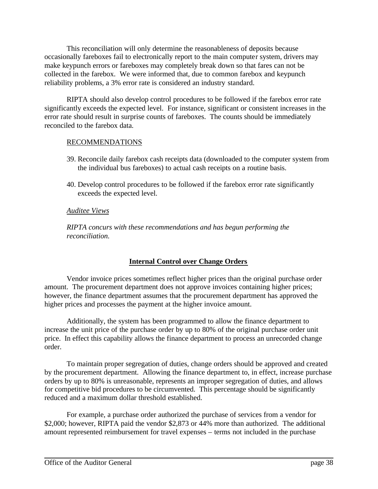This reconciliation will only determine the reasonableness of deposits because occasionally fareboxes fail to electronically report to the main computer system, drivers may make keypunch errors or fareboxes may completely break down so that fares can not be collected in the farebox. We were informed that, due to common farebox and keypunch reliability problems, a 3% error rate is considered an industry standard.

RIPTA should also develop control procedures to be followed if the farebox error rate significantly exceeds the expected level. For instance, significant or consistent increases in the error rate should result in surprise counts of fareboxes. The counts should be immediately reconciled to the farebox data.

#### RECOMMENDATIONS

- 39. Reconcile daily farebox cash receipts data (downloaded to the computer system from the individual bus fareboxes) to actual cash receipts on a routine basis.
- 40. Develop control procedures to be followed if the farebox error rate significantly exceeds the expected level.

#### *Auditee Views*

*RIPTA concurs with these recommendations and has begun performing the reconciliation.*

## **Internal Control over Change Orders**

Vendor invoice prices sometimes reflect higher prices than the original purchase order amount. The procurement department does not approve invoices containing higher prices; however, the finance department assumes that the procurement department has approved the higher prices and processes the payment at the higher invoice amount.

Additionally, the system has been programmed to allow the finance department to increase the unit price of the purchase order by up to 80% of the original purchase order unit price. In effect this capability allows the finance department to process an unrecorded change order.

To maintain proper segregation of duties, change orders should be approved and created by the procurement department. Allowing the finance department to, in effect, increase purchase orders by up to 80% is unreasonable, represents an improper segregation of duties, and allows for competitive bid procedures to be circumvented. This percentage should be significantly reduced and a maximum dollar threshold established.

For example, a purchase order authorized the purchase of services from a vendor for \$2,000; however, RIPTA paid the vendor \$2,873 or 44% more than authorized. The additional amount represented reimbursement for travel expenses – terms not included in the purchase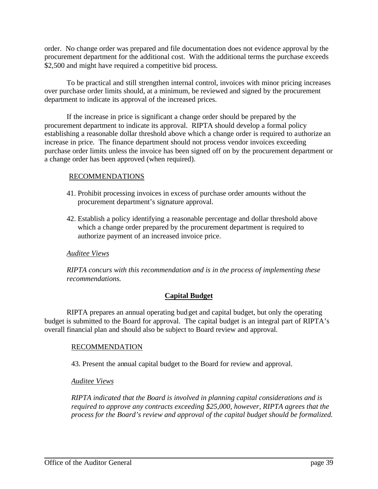order. No change order was prepared and file documentation does not evidence approval by the procurement department for the additional cost. With the additional terms the purchase exceeds \$2,500 and might have required a competitive bid process.

To be practical and still strengthen internal control, invoices with minor pricing increases over purchase order limits should, at a minimum, be reviewed and signed by the procurement department to indicate its approval of the increased prices.

If the increase in price is significant a change order should be prepared by the procurement department to indicate its approval. RIPTA should develop a formal policy establishing a reasonable dollar threshold above which a change order is required to authorize an increase in price. The finance department should not process vendor invoices exceeding purchase order limits unless the invoice has been signed off on by the procurement department or a change order has been approved (when required).

#### RECOMMENDATIONS

- 41. Prohibit processing invoices in excess of purchase order amounts without the procurement department's signature approval.
- 42. Establish a policy identifying a reasonable percentage and dollar threshold above which a change order prepared by the procurement department is required to authorize payment of an increased invoice price.

## *Auditee Views*

*RIPTA concurs with this recommendation and is in the process of implementing these recommendations.*

## **Capital Budget**

RIPTA prepares an annual operating budget and capital budget, but only the operating budget is submitted to the Board for approval. The capital budget is an integral part of RIPTA's overall financial plan and should also be subject to Board review and approval.

#### RECOMMENDATION

43. Present the annual capital budget to the Board for review and approval.

#### *Auditee Views*

*RIPTA indicated that the Board is involved in planning capital considerations and is required to approve any contracts exceeding \$25,000, however, RIPTA agrees that the process for the Board's review and approval of the capital budget should be formalized.*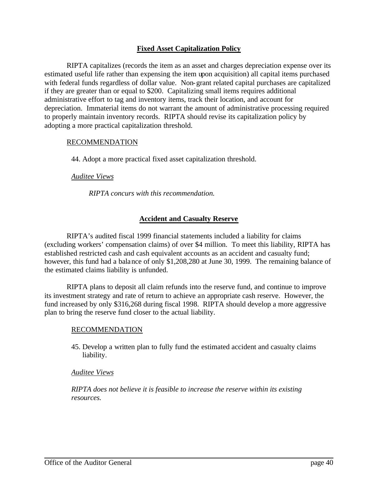#### **Fixed Asset Capitalization Policy**

RIPTA capitalizes (records the item as an asset and charges depreciation expense over its estimated useful life rather than expensing the item upon acquisition) all capital items purchased with federal funds regardless of dollar value. Non-grant related capital purchases are capitalized if they are greater than or equal to \$200. Capitalizing small items requires additional administrative effort to tag and inventory items, track their location, and account for depreciation. Immaterial items do not warrant the amount of administrative processing required to properly maintain inventory records. RIPTA should revise its capitalization policy by adopting a more practical capitalization threshold.

#### RECOMMENDATION

44. Adopt a more practical fixed asset capitalization threshold.

#### *Auditee Views*

*RIPTA concurs with this recommendation.*

#### **Accident and Casualty Reserve**

RIPTA's audited fiscal 1999 financial statements included a liability for claims (excluding workers' compensation claims) of over \$4 million. To meet this liability, RIPTA has established restricted cash and cash equivalent accounts as an accident and casualty fund; however, this fund had a balance of only \$1,208,280 at June 30, 1999. The remaining balance of the estimated claims liability is unfunded.

RIPTA plans to deposit all claim refunds into the reserve fund, and continue to improve its investment strategy and rate of return to achieve an appropriate cash reserve. However, the fund increased by only \$316,268 during fiscal 1998. RIPTA should develop a more aggressive plan to bring the reserve fund closer to the actual liability.

#### RECOMMENDATION

45. Develop a written plan to fully fund the estimated accident and casualty claims liability.

#### *Auditee Views*

*RIPTA does not believe it is feasible to increase the reserve within its existing resources.*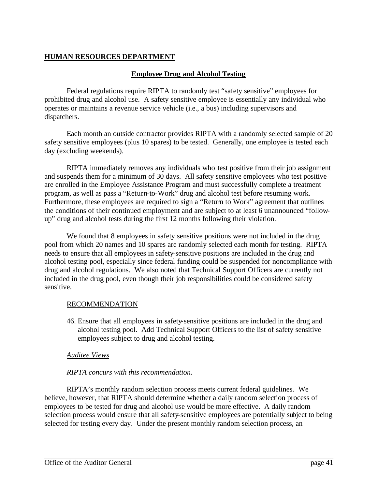## **HUMAN RESOURCES DEPARTMENT**

## **Employee Drug and Alcohol Testing**

Federal regulations require RIPTA to randomly test "safety sensitive" employees for prohibited drug and alcohol use. A safety sensitive employee is essentially any individual who operates or maintains a revenue service vehicle (i.e., a bus) including supervisors and dispatchers.

Each month an outside contractor provides RIPTA with a randomly selected sample of 20 safety sensitive employees (plus 10 spares) to be tested. Generally, one employee is tested each day (excluding weekends).

RIPTA immediately removes any individuals who test positive from their job assignment and suspends them for a minimum of 30 days. All safety sensitive employees who test positive are enrolled in the Employee Assistance Program and must successfully complete a treatment program, as well as pass a "Return-to-Work" drug and alcohol test before resuming work. Furthermore, these employees are required to sign a "Return to Work" agreement that outlines the conditions of their continued employment and are subject to at least 6 unannounced "followup" drug and alcohol tests during the first 12 months following their violation.

We found that 8 employees in safety sensitive positions were not included in the drug pool from which 20 names and 10 spares are randomly selected each month for testing. RIPTA needs to ensure that all employees in safety-sensitive positions are included in the drug and alcohol testing pool, especially since federal funding could be suspended for noncompliance with drug and alcohol regulations. We also noted that Technical Support Officers are currently not included in the drug pool, even though their job responsibilities could be considered safety sensitive.

## RECOMMENDATION

46. Ensure that all employees in safety-sensitive positions are included in the drug and alcohol testing pool. Add Technical Support Officers to the list of safety sensitive employees subject to drug and alcohol testing.

## *Auditee Views*

## *RIPTA concurs with this recommendation.*

RIPTA's monthly random selection process meets current federal guidelines. We believe, however, that RIPTA should determine whether a daily random selection process of employees to be tested for drug and alcohol use would be more effective. A daily random selection process would ensure that all safety-sensitive employees are potentially subject to being selected for testing every day. Under the present monthly random selection process, an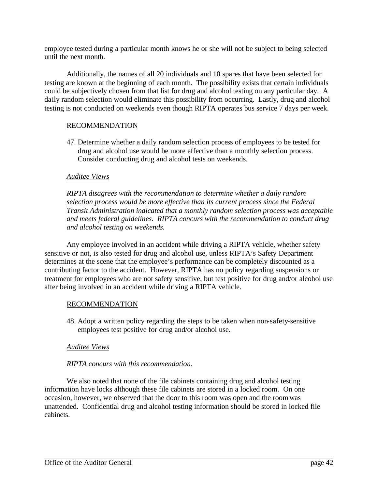employee tested during a particular month knows he or she will not be subject to being selected until the next month.

Additionally, the names of all 20 individuals and 10 spares that have been selected for testing are known at the beginning of each month. The possibility exists that certain individuals could be subjectively chosen from that list for drug and alcohol testing on any particular day. A daily random selection would eliminate this possibility from occurring. Lastly, drug and alcohol testing is not conducted on weekends even though RIPTA operates bus service 7 days per week.

#### RECOMMENDATION

47. Determine whether a daily random selection process of employees to be tested for drug and alcohol use would be more effective than a monthly selection process. Consider conducting drug and alcohol tests on weekends.

#### *Auditee Views*

*RIPTA disagrees with the recommendation to determine whether a daily random selection process would be more effective than its current process since the Federal Transit Administration indicated that a monthly random selection process was acceptable and meets federal guidelines. RIPTA concurs with the recommendation to conduct drug and alcohol testing on weekends.*

Any employee involved in an accident while driving a RIPTA vehicle, whether safety sensitive or not, is also tested for drug and alcohol use, unless RIPTA's Safety Department determines at the scene that the employee's performance can be completely discounted as a contributing factor to the accident. However, RIPTA has no policy regarding suspensions or treatment for employees who are not safety sensitive, but test positive for drug and/or alcohol use after being involved in an accident while driving a RIPTA vehicle.

## RECOMMENDATION

48. Adopt a written policy regarding the steps to be taken when non-safety-sensitive employees test positive for drug and/or alcohol use.

#### *Auditee Views*

#### *RIPTA concurs with this recommendation.*

We also noted that none of the file cabinets containing drug and alcohol testing information have locks although these file cabinets are stored in a locked room. On one occasion, however, we observed that the door to this room was open and the room was unattended. Confidential drug and alcohol testing information should be stored in locked file cabinets.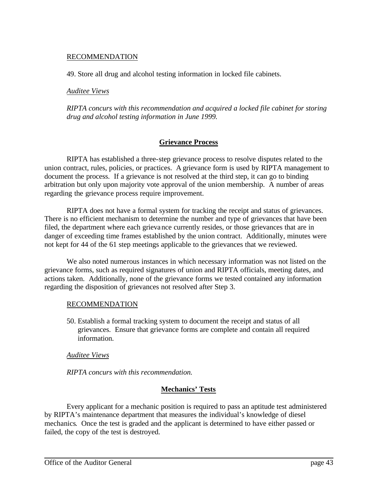## RECOMMENDATION

49. Store all drug and alcohol testing information in locked file cabinets.

#### *Auditee Views*

*RIPTA concurs with this recommendation and acquired a locked file cabinet for storing drug and alcohol testing information in June 1999.*

#### **Grievance Process**

RIPTA has established a three-step grievance process to resolve disputes related to the union contract, rules, policies, or practices. A grievance form is used by RIPTA management to document the process. If a grievance is not resolved at the third step, it can go to binding arbitration but only upon majority vote approval of the union membership. A number of areas regarding the grievance process require improvement.

RIPTA does not have a formal system for tracking the receipt and status of grievances. There is no efficient mechanism to determine the number and type of grievances that have been filed, the department where each grievance currently resides, or those grievances that are in danger of exceeding time frames established by the union contract. Additionally, minutes were not kept for 44 of the 61 step meetings applicable to the grievances that we reviewed.

We also noted numerous instances in which necessary information was not listed on the grievance forms, such as required signatures of union and RIPTA officials, meeting dates, and actions taken. Additionally, none of the grievance forms we tested contained any information regarding the disposition of grievances not resolved after Step 3.

#### RECOMMENDATION

50. Establish a formal tracking system to document the receipt and status of all grievances. Ensure that grievance forms are complete and contain all required information.

#### *Auditee Views*

*RIPTA concurs with this recommendation.*

#### **Mechanics' Tests**

Every applicant for a mechanic position is required to pass an aptitude test administered by RIPTA's maintenance department that measures the individual's knowledge of diesel mechanics. Once the test is graded and the applicant is determined to have either passed or failed, the copy of the test is destroyed.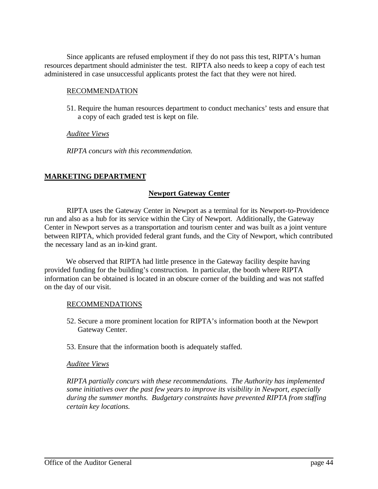Since applicants are refused employment if they do not pass this test, RIPTA's human resources department should administer the test. RIPTA also needs to keep a copy of each test administered in case unsuccessful applicants protest the fact that they were not hired.

#### RECOMMENDATION

51. Require the human resources department to conduct mechanics' tests and ensure that a copy of each graded test is kept on file.

#### *Auditee Views*

*RIPTA concurs with this recommendation.*

## **MARKETING DEPARTMENT**

## **Newport Gateway Center**

RIPTA uses the Gateway Center in Newport as a terminal for its Newport-to-Providence run and also as a hub for its service within the City of Newport. Additionally, the Gateway Center in Newport serves as a transportation and tourism center and was built as a joint venture between RIPTA, which provided federal grant funds, and the City of Newport, which contributed the necessary land as an in-kind grant.

We observed that RIPTA had little presence in the Gateway facility despite having provided funding for the building's construction. In particular, the booth where RIPTA information can be obtained is located in an obscure corner of the building and was not staffed on the day of our visit.

#### RECOMMENDATIONS

- 52. Secure a more prominent location for RIPTA's information booth at the Newport Gateway Center.
- 53. Ensure that the information booth is adequately staffed.

#### *Auditee Views*

*RIPTA partially concurs with these recommendations. The Authority has implemented some initiatives over the past few years to improve its visibility in Newport, especially during the summer months. Budgetary constraints have prevented RIPTA from staffing certain key locations.*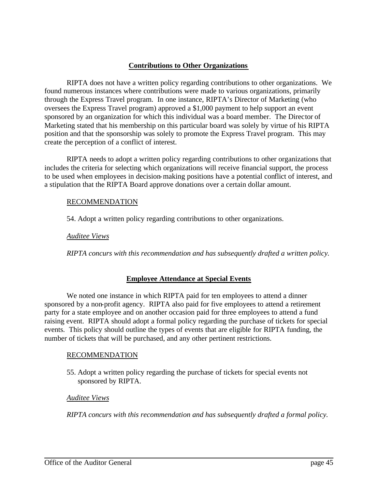## **Contributions to Other Organizations**

RIPTA does not have a written policy regarding contributions to other organizations. We found numerous instances where contributions were made to various organizations, primarily through the Express Travel program. In one instance, RIPTA's Director of Marketing (who oversees the Express Travel program) approved a \$1,000 payment to help support an event sponsored by an organization for which this individual was a board member. The Director of Marketing stated that his membership on this particular board was solely by virtue of his RIPTA position and that the sponsorship was solely to promote the Express Travel program. This may create the perception of a conflict of interest.

RIPTA needs to adopt a written policy regarding contributions to other organizations that includes the criteria for selecting which organizations will receive financial support, the process to be used when employees in decision-making positions have a potential conflict of interest, and a stipulation that the RIPTA Board approve donations over a certain dollar amount.

#### RECOMMENDATION

54. Adopt a written policy regarding contributions to other organizations.

*Auditee Views*

*RIPTA concurs with this recommendation and has subsequently drafted a written policy.*

## **Employee Attendance at Special Events**

We noted one instance in which RIPTA paid for ten employees to attend a dinner sponsored by a non-profit agency. RIPTA also paid for five employees to attend a retirement party for a state employee and on another occasion paid for three employees to attend a fund raising event. RIPTA should adopt a formal policy regarding the purchase of tickets for special events. This policy should outline the types of events that are eligible for RIPTA funding, the number of tickets that will be purchased, and any other pertinent restrictions.

## RECOMMENDATION

55. Adopt a written policy regarding the purchase of tickets for special events not sponsored by RIPTA.

## *Auditee Views*

*RIPTA concurs with this recommendation and has subsequently drafted a formal policy.*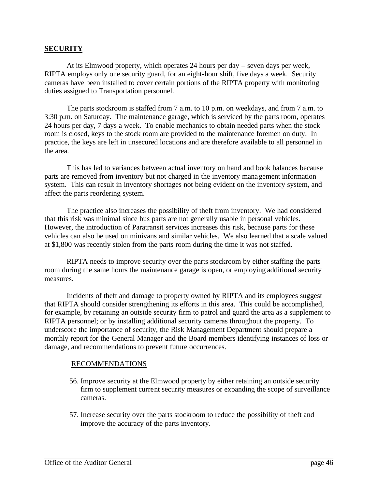#### **SECURITY**

At its Elmwood property, which operates 24 hours per day – seven days per week, RIPTA employs only one security guard, for an eight-hour shift, five days a week. Security cameras have been installed to cover certain portions of the RIPTA property with monitoring duties assigned to Transportation personnel.

The parts stockroom is staffed from 7 a.m. to 10 p.m. on weekdays, and from 7 a.m. to 3:30 p.m. on Saturday. The maintenance garage, which is serviced by the parts room, operates 24 hours per day, 7 days a week. To enable mechanics to obtain needed parts when the stock room is closed, keys to the stock room are provided to the maintenance foremen on duty. In practice, the keys are left in unsecured locations and are therefore available to all personnel in the area.

This has led to variances between actual inventory on hand and book balances because parts are removed from inventory but not charged in the inventory management information system. This can result in inventory shortages not being evident on the inventory system, and affect the parts reordering system.

The practice also increases the possibility of theft from inventory. We had considered that this risk was minimal since bus parts are not generally usable in personal vehicles. However, the introduction of Paratransit services increases this risk, because parts for these vehicles can also be used on minivans and similar vehicles. We also learned that a scale valued at \$1,800 was recently stolen from the parts room during the time it was not staffed.

RIPTA needs to improve security over the parts stockroom by either staffing the parts room during the same hours the maintenance garage is open, or employing additional security measures.

Incidents of theft and damage to property owned by RIPTA and its employees suggest that RIPTA should consider strengthening its efforts in this area. This could be accomplished, for example, by retaining an outside security firm to patrol and guard the area as a supplement to RIPTA personnel; or by installing additional security cameras throughout the property. To underscore the importance of security, the Risk Management Department should prepare a monthly report for the General Manager and the Board members identifying instances of loss or damage, and recommendations to prevent future occurrences.

#### RECOMMENDATIONS

- 56. Improve security at the Elmwood property by either retaining an outside security firm to supplement current security measures or expanding the scope of surveillance cameras.
- 57. Increase security over the parts stockroom to reduce the possibility of theft and improve the accuracy of the parts inventory.